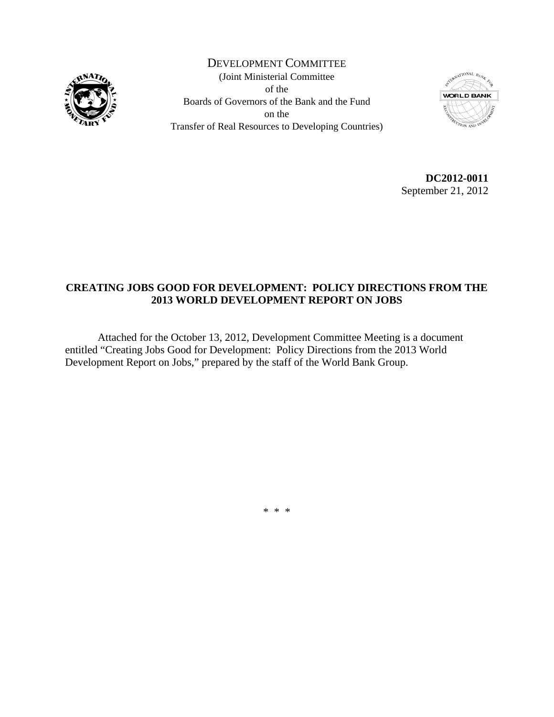

DEVELOPMENT COMMITTEE (Joint Ministerial Committee of the Boards of Governors of the Bank and the Fund on the Transfer of Real Resources to Developing Countries)



**DC2012-0011**  September 21, 2012

## **CREATING JOBS GOOD FOR DEVELOPMENT: POLICY DIRECTIONS FROM THE 2013 WORLD DEVELOPMENT REPORT ON JOBS**

 Attached for the October 13, 2012, Development Committee Meeting is a document entitled "Creating Jobs Good for Development: Policy Directions from the 2013 World Development Report on Jobs," prepared by the staff of the World Bank Group.

\* \* \*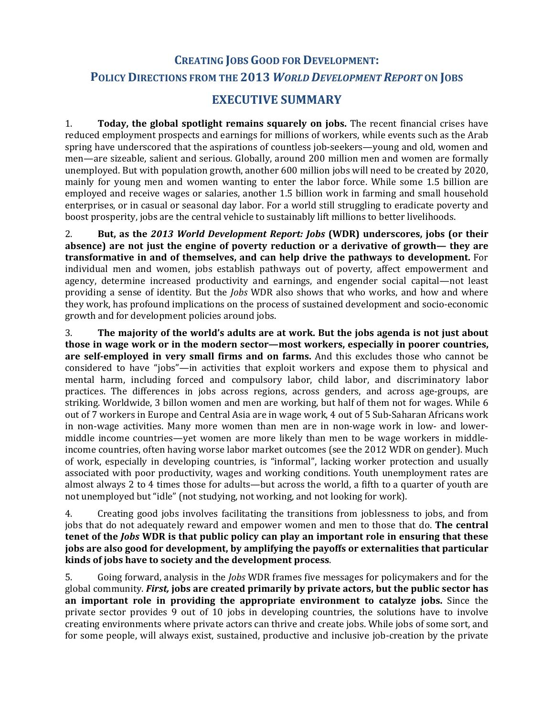# **CREATING JOBS GOOD FOR DEVELOPMENT: POLICY DIRECTIONS FROM THE 2013** *WORLD DEVELOPMENT REPORT* **ON JOBS**

# **EXECUTIVE SUMMARY**

1. **Today, the global spotlight remains squarely on jobs.** The recent financial crises have reduced employment prospects and earnings for millions of workers, while events such as the Arab spring have underscored that the aspirations of countless job-seekers—young and old, women and men—are sizeable, salient and serious. Globally, around 200 million men and women are formally unemployed. But with population growth, another 600 million jobs will need to be created by 2020, mainly for young men and women wanting to enter the labor force. While some 1.5 billion are employed and receive wages or salaries, another 1.5 billion work in farming and small household enterprises, or in casual or seasonal day labor. For a world still struggling to eradicate poverty and boost prosperity, jobs are the central vehicle to sustainably lift millions to better livelihoods.

2. **But, as the** *2013 World Development Report: Jobs* **(WDR) underscores, jobs (or their absence) are not just the engine of poverty reduction or a derivative of growth— they are transformative in and of themselves, and can help drive the pathways to development.** For individual men and women, jobs establish pathways out of poverty, affect empowerment and agency, determine increased productivity and earnings, and engender social capital—not least providing a sense of identity. But the *Jobs* WDR also shows that who works, and how and where they work, has profound implications on the process of sustained development and socio‐economic growth and for development policies around jobs.

3. **The majority of the world's adults are at work. But the jobs agenda is not just about those in wage work or in the modern sector—most workers, especially in poorer countries, are selfemployed in very small firms and on farms.** And this excludes those who cannot be considered to have "jobs"—in activities that exploit workers and expose them to physical and mental harm, including forced and compulsory labor, child labor, and discriminatory labor practices. The differences in jobs across regions, across genders, and across age‐groups, are striking. Worldwide, 3 billon women and men are working, but half of them not for wages. While 6 out of 7 workers in Europe and Central Asia are in wage work, 4 out of 5 Sub‐Saharan Africans work in non-wage activities. Many more women than men are in non-wage work in low- and lowermiddle income countries—yet women are more likely than men to be wage workers in middleincome countries, often having worse labor market outcomes (see the 2012 WDR on gender). Much of work, especially in developing countries, is "informal", lacking worker protection and usually associated with poor productivity, wages and working conditions. Youth unemployment rates are almost always 2 to 4 times those for adults—but across the world, a fifth to a quarter of youth are not unemployed but "idle" (not studying, not working, and not looking for work).

4. Creating good jobs involves facilitating the transitions from joblessness to jobs, and from jobs that do not adequately reward and empower women and men to those that do. **The central tenet of the** *Jobs* **WDR is that public policy can play an important role in ensuring that these jobs are also good for development, by amplifying the payoffs or externalities that particular kinds of jobs have to society and the development process**.

5. Going forward, analysis in the *Jobs* WDR frames five messages for policymakers and for the global community. *First,* **jobs are created primarily by private actors, but the public sector has an important role in providing the appropriate environment to catalyze jobs.** Since the private sector provides 9 out of 10 jobs in developing countries, the solutions have to involve creating environments where private actors can thrive and create jobs. While jobs of some sort, and for some people, will always exist, sustained, productive and inclusive job-creation by the private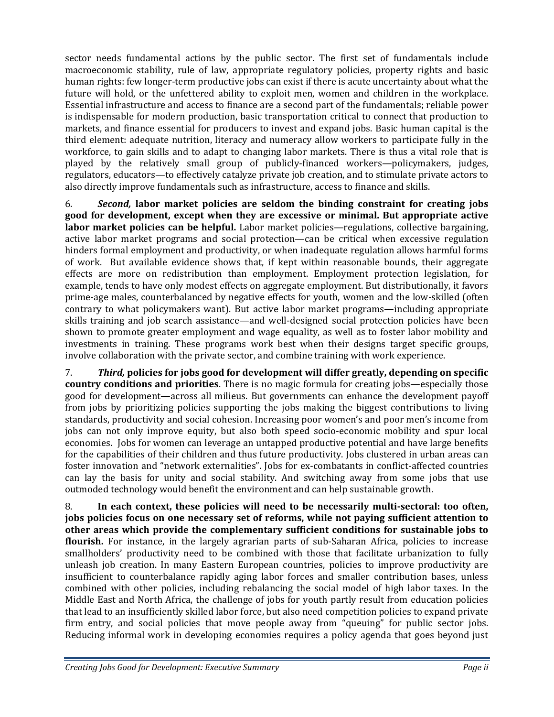sector needs fundamental actions by the public sector. The first set of fundamentals include macroeconomic stability, rule of law, appropriate regulatory policies, property rights and basic human rights: few longer‐term productive jobs can exist if there is acute uncertainty about what the future will hold, or the unfettered ability to exploit men, women and children in the workplace. Essential infrastructure and access to finance are a second part of the fundamentals; reliable power is indispensable for modern production, basic transportation critical to connect that production to markets, and finance essential for producers to invest and expand jobs. Basic human capital is the third element: adequate nutrition, literacy and numeracy allow workers to participate fully in the workforce, to gain skills and to adapt to changing labor markets. There is thus a vital role that is played by the relatively small group of publicly‐financed workers—policymakers, judges, regulators, educators—to effectively catalyze private job creation, and to stimulate private actors to also directly improve fundamentals such as infrastructure, access to finance and skills.

6. *Second,* **labor market policies are seldom the binding constraint for creating jobs good for development, except when they are excessive or minimal. But appropriate active labor market policies can be helpful.** Labor market policies—regulations, collective bargaining, active labor market programs and social protection—can be critical when excessive regulation hinders formal employment and productivity, or when inadequate regulation allows harmful forms of work. But available evidence shows that, if kept within reasonable bounds, their aggregate effects are more on redistribution than employment. Employment protection legislation, for example, tends to have only modest effects on aggregate employment. But distributionally, it favors prime‐age males, counterbalanced by negative effects for youth, women and the low‐skilled (often contrary to what policymakers want). But active labor market programs—including appropriate skills training and job search assistance—and well‐designed social protection policies have been shown to promote greater employment and wage equality, as well as to foster labor mobility and investments in training. These programs work best when their designs target specific groups, involve collaboration with the private sector, and combine training with work experience.

7. *Third,* **policies for jobs good for development will differ greatly, depending on specific country conditions and priorities**. There is no magic formula for creating jobs—especially those good for development—across all milieus. But governments can enhance the development payoff from jobs by prioritizing policies supporting the jobs making the biggest contributions to living standards, productivity and social cohesion. Increasing poor women's and poor men's income from jobs can not only improve equity, but also both speed socio-economic mobility and spur local economies. Jobs for women can leverage an untapped productive potential and have large benefits for the capabilities of their children and thus future productivity. Jobs clustered in urban areas can foster innovation and "network externalities". Jobs for ex-combatants in conflict-affected countries can lay the basis for unity and social stability. And switching away from some jobs that use outmoded technology would benefit the environment and can help sustainable growth.

8. **In each context, these policies will need to be necessarily multisectoral: too often, jobs policies focus on one necessary set of reforms, while not paying sufficient attention to other areas which provide the complementary sufficient conditions for sustainable jobs to flourish.** For instance, in the largely agrarian parts of sub-Saharan Africa, policies to increase smallholders' productivity need to be combined with those that facilitate urbanization to fully unleash job creation. In many Eastern European countries, policies to improve productivity are insufficient to counterbalance rapidly aging labor forces and smaller contribution bases, unless combined with other policies, including rebalancing the social model of high labor taxes. In the Middle East and North Africa, the challenge of jobs for youth partly result from education policies that lead to an insufficiently skilled labor force, but also need competition policies to expand private firm entry, and social policies that move people away from "queuing" for public sector jobs. Reducing informal work in developing economies requires a policy agenda that goes beyond just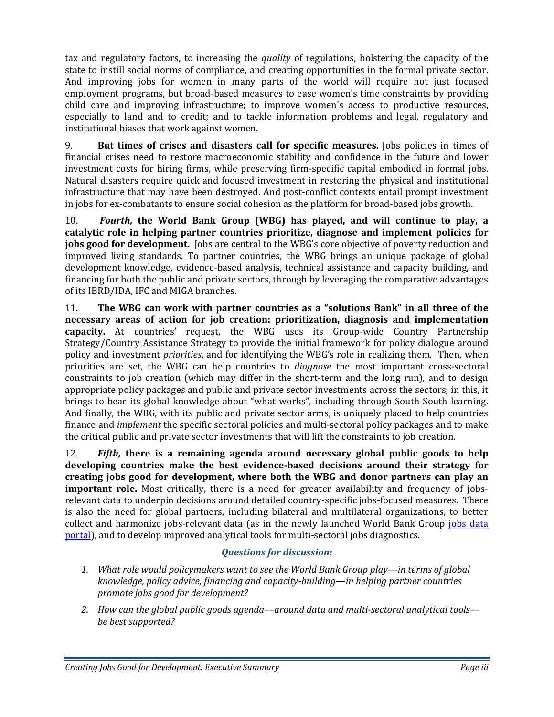tax and regulatory factors, to increasing the *quality* of regulations, bolstering the capacity of the state to instill social norms of compliance, and creating opportunities in the formal private sector. And improving jobs for women in many parts of the world will require not just focused employment programs, but broad‐based measures to ease women's time constraints by providing child care and improving infrastructure; to improve women's access to productive resources, especially to land and to credit; and to tackle information problems and legal, regulatory and institutional biases that work against women.

9. **But times of crises and disasters call for specific measures.** Jobs policies in times of financial crises need to restore macroeconomic stability and confidence in the future and lower investment costs for hiring firms, while preserving firm-specific capital embodied in formal jobs. Natural disasters require quick and focused investment in restoring the physical and institutional infrastructure that may have been destroyed. And post-conflict contexts entail prompt investment in jobs for ex-combatants to ensure social cohesion as the platform for broad-based jobs growth.

10. *Fourth,* **the World Bank Group (WBG) has played, and will continue to play, a catalytic role in helping partner countries prioritize, diagnose and implement policies for jobs good for development.** Jobs are central to the WBG's core objective of poverty reduction and improved living standards. To partner countries, the WBG brings an unique package of global development knowledge, evidence‐based analysis, technical assistance and capacity building, and financing for both the public and private sectors, through by leveraging the comparative advantages of its IBRD/IDA, IFC and MIGA branches.

11. **The WBG can work with partner countries as a "solutions Bank" in all three of the necessary areas of action for job creation: prioritization, diagnosis and implementation capacity.** At countries' request, the WBG uses its Group-wide Country Partnership Strategy/Country Assistance Strategy to provide the initial framework for policy dialogue around policy and investment *priorities*, and for identifying the WBG's role in realizing them. Then, when priorities are set, the WBG can help countries to *diagnose* the most important cross‐sectoral constraints to job creation (which may differ in the short-term and the long run), and to design appropriate policy packages and public and private sector investments across the sectors; in this, it brings to bear its global knowledge about "what works", including through South-South learning. And finally, the WBG, with its public and private sector arms, is uniquely placed to help countries finance and *implement* the specific sectoral policies and multi-sectoral policy packages and to make the critical public and private sector investments that will lift the constraints to job creation.

12. *Fifth,* **there is a remaining agenda around necessary global public goods to help developing countries make the best evidencebased decisions around their strategy for creating jobs good for development, where both the WBG and donor partners can play an important role.** Most critically, there is a need for greater availability and frequency of jobsrelevant data to underpin decisions around detailed country‐specific jobs‐focused measures. There is also the need for global partners, including bilateral and multilateral organizations, to better collect and harmonize jobs-relevant data (as in the newly launched World Bank Group jobs data portal), and to develop improved analytical tools for multi-sectoral jobs diagnostics.

### *Questions for discussion:*

- *1. What role would policymakers want to see the World Bank Group play—in terms of global knowledge, policy advice, financing and capacitybuilding—in helping partner countries promote jobs good for development?*
- *2. How can the global public goods agenda—around data and multisectoral analytical tools be best supported?*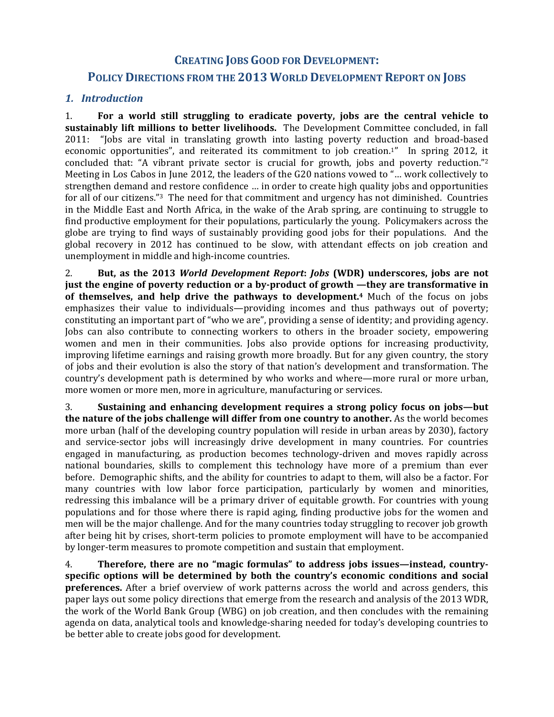### **CREATING JOBS GOOD FOR DEVELOPMENT:**

### **POLICY DIRECTIONS FROM THE 2013 WORLD DEVELOPMENT REPORT ON JOBS**

#### *1. Introduction*

1. **For a world still struggling to eradicate poverty, jobs are the central vehicle to sustainably lift millions to better livelihoods.** The Development Committee concluded, in fall 2011: "Jobs are vital in translating growth into lasting poverty reduction and broad-based economic opportunities", and reiterated its commitment to job creation.<sup>1"</sup> In spring 2012, it concluded that: "A vibrant private sector is crucial for growth, jobs and poverty reduction."<sup>2</sup> Meeting in Los Cabos in June 2012, the leaders of the G20 nations vowed to "… work collectively to strengthen demand and restore confidence … in order to create high quality jobs and opportunities for all of our citizens."<sup>3</sup> The need for that commitment and urgency has not diminished. Countries in the Middle East and North Africa, in the wake of the Arab spring, are continuing to struggle to find productive employment for their populations, particularly the young. Policymakers across the globe are trying to find ways of sustainably providing good jobs for their populations. And the global recovery in 2012 has continued to be slow, with attendant effects on job creation and unemployment in middle and high‐income countries.

2. **But, as the 2013** *World Development Report***:** *Jobs* **(WDR) underscores, jobs are not just the engine of poverty reduction or a byproduct of growth —they are transformative in of themselves, and help drive the pathways to development.4** Much of the focus on jobs emphasizes their value to individuals—providing incomes and thus pathways out of poverty; constituting an important part of "who we are", providing a sense of identity; and providing agency. Jobs can also contribute to connecting workers to others in the broader society, empowering women and men in their communities. Jobs also provide options for increasing productivity, improving lifetime earnings and raising growth more broadly. But for any given country, the story of jobs and their evolution is also the story of that nation's development and transformation. The country's development path is determined by who works and where—more rural or more urban, more women or more men, more in agriculture, manufacturing or services.

3. **Sustaining and enhancing development requires a strong policy focus on jobs—but the nature of the jobs challenge will differ from one country to another.** As the world becomes more urban (half of the developing country population will reside in urban areas by 2030), factory and service-sector jobs will increasingly drive development in many countries. For countries engaged in manufacturing, as production becomes technology‐driven and moves rapidly across national boundaries, skills to complement this technology have more of a premium than ever before. Demographic shifts, and the ability for countries to adapt to them, will also be a factor. For many countries with low labor force participation, particularly by women and minorities, redressing this imbalance will be a primary driver of equitable growth. For countries with young populations and for those where there is rapid aging, finding productive jobs for the women and men will be the major challenge. And for the many countries today struggling to recover job growth after being hit by crises, short‐term policies to promote employment will have to be accompanied by longer‐term measures to promote competition and sustain that employment.

4. **Therefore, there are no "magic formulas" to address jobs issues—instead, countryspecific options will be determined by both the country's economic conditions and social preferences.** After a brief overview of work patterns across the world and across genders, this paper lays out some policy directions that emerge from the research and analysis of the 2013 WDR, the work of the World Bank Group (WBG) on job creation, and then concludes with the remaining agenda on data, analytical tools and knowledge‐sharing needed for today's developing countries to be better able to create jobs good for development.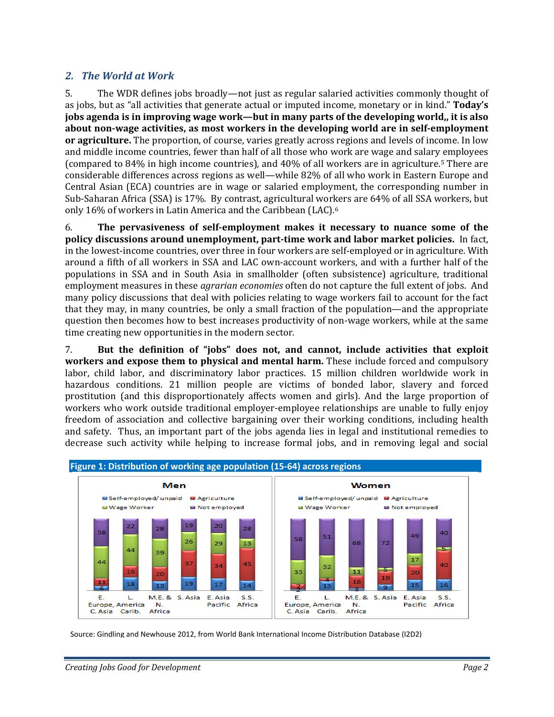### *2. The World at Work*

5. The WDR defines jobs broadly—not just as regular salaried activities commonly thought of as jobs, but as "all activities that generate actual or imputed income, monetary or in kind." **Today's jobs agenda is in improving wage work—but in many parts of the developing world,, it is also about nonwage activities, as most workers in the developing world are in selfemployment or agriculture.** The proportion, of course, varies greatly across regions and levels of income. In low and middle income countries, fewer than half of all those who work are wage and salary employees (compared to 84% in high income countries), and 40% of all workers are in agriculture.5 There are considerable differences across regions as well—while 82% of all who work in Eastern Europe and Central Asian (ECA) countries are in wage or salaried employment, the corresponding number in Sub‐Saharan Africa (SSA) is 17%. By contrast, agricultural workers are 64% of all SSA workers, but only 16% of workers in Latin America and the Caribbean (LAC).6

6. **The pervasiveness of selfemployment makes it necessary to nuance some of the policy discussions around unemployment, parttime work and labor market policies.** In fact, in the lowest-income countries, over three in four workers are self-employed or in agriculture. With around a fifth of all workers in SSA and LAC own‐account workers, and with a further half of the populations in SSA and in South Asia in smallholder (often subsistence) agriculture, traditional employment measures in these *agrarian economies* often do not capture the full extent of jobs. And many policy discussions that deal with policies relating to wage workers fail to account for the fact that they may, in many countries, be only a small fraction of the population—and the appropriate question then becomes how to best increases productivity of non‐wage workers, while at the same time creating new opportunities in the modern sector.

7. **But the definition of "jobs" does not, and cannot, include activities that exploit workers and expose them to physical and mental harm.** These include forced and compulsory labor, child labor, and discriminatory labor practices. 15 million children worldwide work in hazardous conditions. 21 million people are victims of bonded labor, slavery and forced prostitution (and this disproportionately affects women and girls). And the large proportion of workers who work outside traditional employer-employee relationships are unable to fully enjoy freedom of association and collective bargaining over their working conditions, including health and safety. Thus, an important part of the jobs agenda lies in legal and institutional remedies to decrease such activity while helping to increase formal jobs, and in removing legal and social



Source: Gindling and Newhouse 2012, from World Bank International Income Distribution Database (I2D2)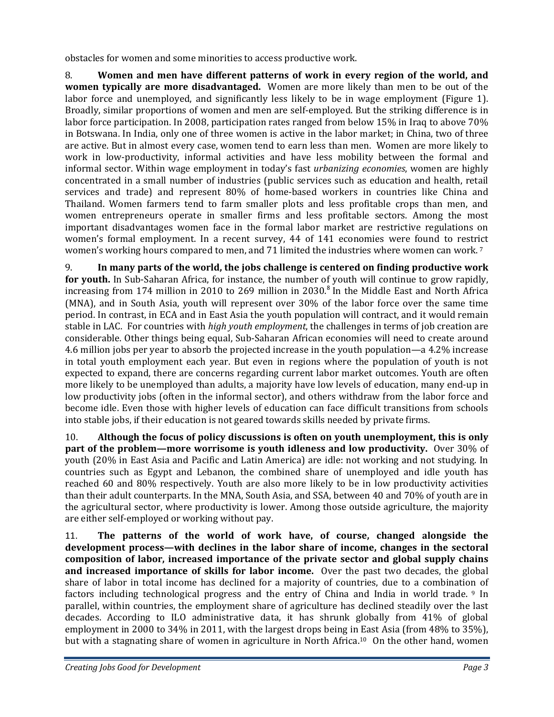obstacles for women and some minorities to access productive work.

8. **Women and men have different patterns of work in every region of the world, and women typically are more disadvantaged.** Women are more likely than men to be out of the labor force and unemployed, and significantly less likely to be in wage employment (Figure 1). Broadly, similar proportions of women and men are self‐employed. But the striking difference is in labor force participation. In 2008, participation rates ranged from below 15% in Iraq to above 70% in Botswana. In India, only one of three women is active in the labor market; in China, two of three are active. But in almost every case, women tend to earn less than men. Women are more likely to work in low-productivity, informal activities and have less mobility between the formal and informal sector. Within wage employment in today's fast *urbanizing economies*, women are highly concentrated in a small number of industries (public services such as education and health, retail services and trade) and represent 80% of home-based workers in countries like China and Thailand. Women farmers tend to farm smaller plots and less profitable crops than men, and women entrepreneurs operate in smaller firms and less profitable sectors. Among the most important disadvantages women face in the formal labor market are restrictive regulations on women's formal employment. In a recent survey, 44 of 141 economies were found to restrict women's working hours compared to men, and 71 limited the industries where women can work. 7

9. **In many parts of the world, the jobs challenge is centered on finding productive work for youth.** In Sub‐Saharan Africa, for instance, the number of youth will continue to grow rapidly, increasing from 174 million in 2010 to 269 million in 2030.<sup>8</sup> In the Middle East and North Africa (MNA), and in South Asia, youth will represent over 30% of the labor force over the same time period. In contrast, in ECA and in East Asia the youth population will contract, and it would remain stable in LAC. For countries with *high youth employment*, the challenges in terms of job creation are considerable. Other things being equal, Sub‐Saharan African economies will need to create around 4.6 million jobs per year to absorb the projected increase in the youth population—a 4.2% increase in total youth employment each year. But even in regions where the population of youth is not expected to expand, there are concerns regarding current labor market outcomes. Youth are often more likely to be unemployed than adults, a majority have low levels of education, many end‐up in low productivity jobs (often in the informal sector), and others withdraw from the labor force and become idle. Even those with higher levels of education can face difficult transitions from schools into stable jobs, if their education is not geared towards skills needed by private firms.

10. **Although the focus of policy discussions is often on youth unemployment, this is only part of the problem—more worrisome is youth idleness and low productivity.** Over 30% of youth (20% in East Asia and Pacific and Latin America) are idle: not working and not studying. In countries such as Egypt and Lebanon, the combined share of unemployed and idle youth has reached 60 and 80% respectively. Youth are also more likely to be in low productivity activities than their adult counterparts. In the MNA, South Asia, and SSA, between 40 and 70% of youth are in the agricultural sector, where productivity is lower. Among those outside agriculture, the majority are either self‐employed or working without pay.

11. **The patterns of the world of work have, of course, changed alongside the development process—with declines in the labor share of income, changes in the sectoral composition of labor, increased importance of the private sector and global supply chains and increased importance of skills for labor income.** Over the past two decades, the global share of labor in total income has declined for a majority of countries, due to a combination of factors including technological progress and the entry of China and India in world trade. <sup>9</sup> In parallel, within countries, the employment share of agriculture has declined steadily over the last decades. According to ILO administrative data, it has shrunk globally from 41% of global employment in 2000 to 34% in 2011, with the largest drops being in East Asia (from 48% to 35%), but with a stagnating share of women in agriculture in North Africa.<sup>10</sup> On the other hand, women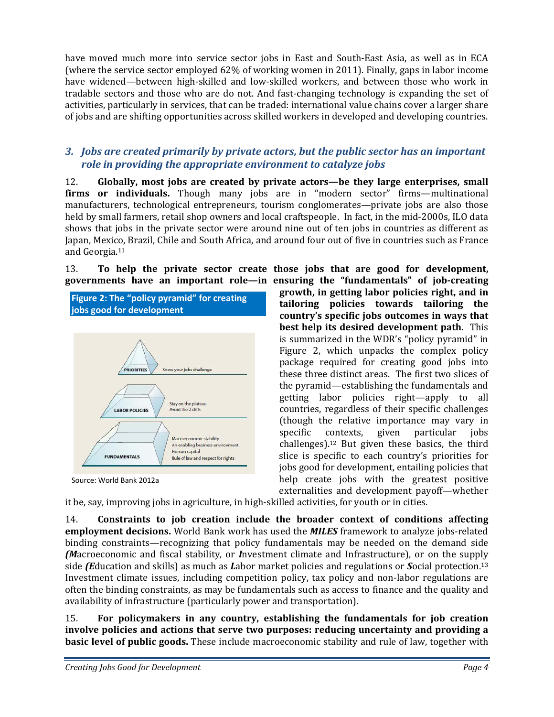have moved much more into service sector jobs in East and South-East Asia, as well as in ECA (where the service sector employed 62% of working women in 2011). Finally, gaps in labor income have widened—between high-skilled and low-skilled workers, and between those who work in tradable sectors and those who are do not. And fast‐changing technology is expanding the set of activities, particularly in services, that can be traded: international value chains cover a larger share of jobs and are shifting opportunities across skilled workers in developed and developing countries.

### *3. Jobs are created primarily by private actors, but the public sector has an important role in providing the appropriate environment to catalyze jobs*

12. **Globally, most jobs are created by private actors—be they large enterprises, small firms or individuals.** Though many jobs are in "modern sector" firms—multinational manufacturers, technological entrepreneurs, tourism conglomerates—private jobs are also those held by small farmers, retail shop owners and local craftspeople. In fact, in the mid-2000s, ILO data shows that jobs in the private sector were around nine out of ten jobs in countries as different as Japan, Mexico, Brazil, Chile and South Africa, and around four out of five in countries such as France and Georgia.11

13. **To help the private sector create those jobs that are good for development, governments have an important role—in ensuring the "fundamentals" of jobcreating**



Source: World Bank 2012a

**growth, in getting labor policies right, and in tailoring policies towards tailoring the country's specific jobs outcomes in ways that best help its desired development path.** This is summarized in the WDR's "policy pyramid" in Figure 2, which unpacks the complex policy package required for creating good jobs into these three distinct areas. The first two slices of the pyramid—establishing the fundamentals and getting labor policies right—apply to all countries, regardless of their specific challenges (though the relative importance may vary in specific contexts, given particular jobs challenges).12 But given these basics, the third slice is specific to each country's priorities for jobs good for development, entailing policies that help create jobs with the greatest positive externalities and development payoff—whether

it be, say, improving jobs in agriculture, in high‐skilled activities, for youth or in cities.

14. **Constraints to job creation include the broader context of conditions affecting employment decisions.** World Bank work has used the *MILES* framework to analyze jobs‐related binding constraints—recognizing that policy fundamentals may be needed on the demand side *(M*acroeconomic and fiscal stability, or *I*nvestment climate and Infrastructure), or on the supply side *(E*ducation and skills) as much as *L*abor market policies and regulations or *S*ocial protection.13 Investment climate issues, including competition policy, tax policy and non‐labor regulations are often the binding constraints, as may be fundamentals such as access to finance and the quality and availability of infrastructure (particularly power and transportation).

15. **For policymakers in any country, establishing the fundamentals for job creation involve policies and actions that serve two purposes: reducing uncertainty and providing a basic level of public goods.** These include macroeconomic stability and rule of law, together with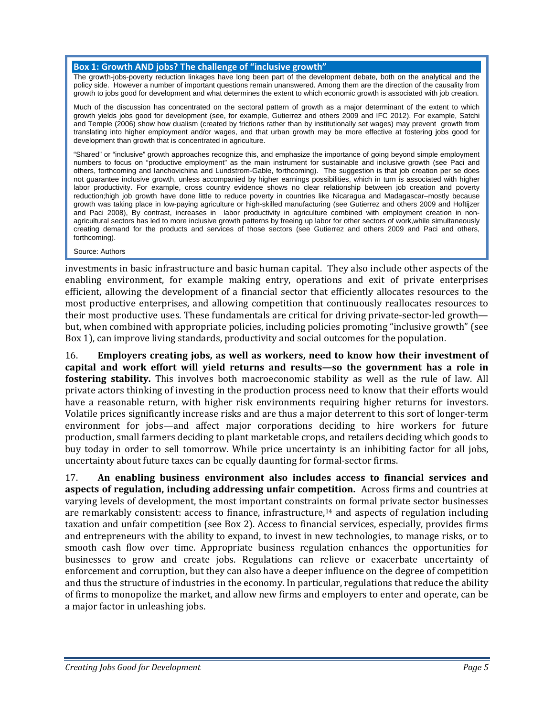#### **Box 1: Growth AND jobs? The challenge of "inclusive growth"**

The growth-jobs-poverty reduction linkages have long been part of the development debate, both on the analytical and the policy side. However a number of important questions remain unanswered. Among them are the direction of the causality from growth to jobs good for development and what determines the extent to which economic growth is associated with job creation.

Much of the discussion has concentrated on the sectoral pattern of growth as a major determinant of the extent to which growth yields jobs good for development (see, for example, Gutierrez and others 2009 and IFC 2012). For example, Satchi and Temple (2006) show how dualism (created by frictions rather than by institutionally set wages) may prevent growth from translating into higher employment and/or wages, and that urban growth may be more effective at fostering jobs good for development than growth that is concentrated in agriculture.

"Shared" or "inclusive" growth approaches recognize this, and emphasize the importance of going beyond simple employment numbers to focus on "productive employment" as the main instrument for sustainable and inclusive growth (see Paci and others, forthcoming and Ianchovichina and Lundstrom-Gable, forthcoming). The suggestion is that job creation per se does not guarantee inclusive growth, unless accompanied by higher earnings possibilities, which in turn is associated with higher labor productivity. For example, cross country evidence shows no clear relationship between job creation and poverty reduction;high job growth have done little to reduce poverty in countries like Nicaragua and Madagascar–mostly because growth was taking place in low-paying agriculture or high-skilled manufacturing (see Gutierrez and others 2009 and Hoftijzer and Paci 2008), By contrast, increases in labor productivity in agriculture combined with employment creation in nonagricultural sectors has led to more inclusive growth patterns by freeing up labor for other sectors of work,while simultaneously creating demand for the products and services of those sectors (see Gutierrez and others 2009 and Paci and others, forthcoming).

Source: Authors

investments in basic infrastructure and basic human capital. They also include other aspects of the enabling environment, for example making entry, operations and exit of private enterprises efficient, allowing the development of a financial sector that efficiently allocates resources to the most productive enterprises, and allowing competition that continuously reallocates resources to their most productive uses. These fundamentals are critical for driving private‐sector‐led growth but, when combined with appropriate policies, including policies promoting "inclusive growth" (see Box 1), can improve living standards, productivity and social outcomes for the population.

16. **Employers creating jobs, as well as workers, need to know how their investment of capital and work effort will yield returns and results—so the government has a role in fostering stability.** This involves both macroeconomic stability as well as the rule of law. All private actors thinking of investing in the production process need to know that their efforts would have a reasonable return, with higher risk environments requiring higher returns for investors. Volatile prices significantly increase risks and are thus a major deterrent to this sort of longer‐term environment for jobs—and affect major corporations deciding to hire workers for future production, small farmers deciding to plant marketable crops, and retailers deciding which goods to buy today in order to sell tomorrow. While price uncertainty is an inhibiting factor for all jobs, uncertainty about future taxes can be equally daunting for formal‐sector firms.

17. **An enabling business environment also includes access to financial services and aspects of regulation, including addressing unfair competition.** Across firms and countries at varying levels of development, the most important constraints on formal private sector businesses are remarkably consistent: access to finance, infrastructure,<sup>14</sup> and aspects of regulation including taxation and unfair competition (see Box 2). Access to financial services, especially, provides firms and entrepreneurs with the ability to expand, to invest in new technologies, to manage risks, or to smooth cash flow over time. Appropriate business regulation enhances the opportunities for businesses to grow and create jobs. Regulations can relieve or exacerbate uncertainty of enforcement and corruption, but they can also have a deeper influence on the degree of competition and thus the structure of industries in the economy. In particular, regulations that reduce the ability of firms to monopolize the market, and allow new firms and employers to enter and operate, can be a major factor in unleashing jobs.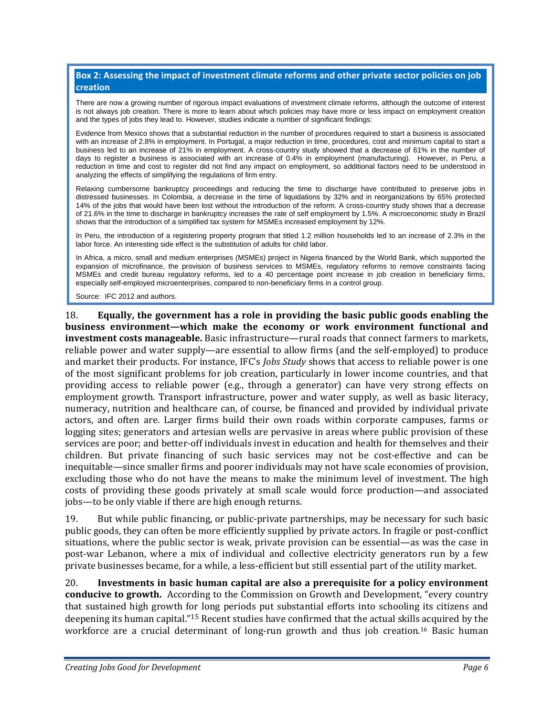#### **Box 2: Assessing the impact of investment climate reforms and other private sector policies on job creation**

There are now a growing number of rigorous impact evaluations of investment climate reforms, although the outcome of interest is not always job creation. There is more to learn about which policies may have more or less impact on employment creation and the types of jobs they lead to. However, studies indicate a number of significant findings:

Evidence from Mexico shows that a substantial reduction in the number of procedures required to start a business is associated with an increase of 2.8% in employment. In Portugal, a major reduction in time, procedures, cost and minimum capital to start a business led to an increase of 21% in employment. A cross-country study showed that a decrease of 61% in the number of days to register a business is associated with an increase of 0.4% in employment (manufacturing). However, in Peru, a reduction in time and cost to register did not find any impact on employment, so additional factors need to be understood in analyzing the effects of simplifying the regulations of firm entry.

Relaxing cumbersome bankruptcy proceedings and reducing the time to discharge have contributed to preserve jobs in distressed businesses. In Colombia, a decrease in the time of liquidations by 32% and in reorganizations by 65% protected 14% of the jobs that would have been lost without the introduction of the reform. A cross-country study shows that a decrease of 21.6% in the time to discharge in bankruptcy increases the rate of self employment by 1.5%. A microeconomic study in Brazil shows that the introduction of a simplified tax system for MSMEs increased employment by 12%.

In Peru, the introduction of a registering property program that titled 1.2 million households led to an increase of 2.3% in the labor force. An interesting side effect is the substitution of adults for child labor.

In Africa, a micro, small and medium enterprises (MSMEs) project in Nigeria financed by the World Bank, which supported the expansion of microfinance, the provision of business services to MSMEs, regulatory reforms to remove constraints facing MSMEs and credit bureau regulatory reforms, led to a 40 percentage point increase in job creation in beneficiary firms, especially self-employed microenterprises, compared to non-beneficiary firms in a control group.

Source: IFC 2012 and authors.

18. **Equally, the government has a role in providing the basic public goods enabling the business environment—which make the economy or work environment functional and investment costs manageable.** Basic infrastructure—rural roads that connect farmers to markets, reliable power and water supply—are essential to allow firms (and the self‐employed) to produce and market their products. For instance, IFC's *Jobs Study* shows that access to reliable power is one of the most significant problems for job creation, particularly in lower income countries, and that providing access to reliable power (e.g., through a generator) can have very strong effects on employment growth. Transport infrastructure, power and water supply, as well as basic literacy, numeracy, nutrition and healthcare can, of course, be financed and provided by individual private actors, and often are. Larger firms build their own roads within corporate campuses, farms or logging sites; generators and artesian wells are pervasive in areas where public provision of these services are poor; and better-off individuals invest in education and health for themselves and their children. But private financing of such basic services may not be cost-effective and can be inequitable—since smaller firms and poorer individuals may not have scale economies of provision, excluding those who do not have the means to make the minimum level of investment. The high costs of providing these goods privately at small scale would force production—and associated jobs—to be only viable if there are high enough returns.

19. But while public financing, or public‐private partnerships, may be necessary for such basic public goods, they can often be more efficiently supplied by private actors. In fragile or post-conflict situations, where the public sector is weak, private provision can be essential—as was the case in post-war Lebanon, where a mix of individual and collective electricity generators run by a few private businesses became, for a while, a less‐efficient but still essential part of the utility market.

20. **Investments in basic human capital are also a prerequisite for a policy environment conducive to growth.** According to the Commission on Growth and Development, "every country that sustained high growth for long periods put substantial efforts into schooling its citizens and deepening its human capital."15 Recent studies have confirmed that the actual skills acquired by the workforce are a crucial determinant of long-run growth and thus job creation.<sup>16</sup> Basic human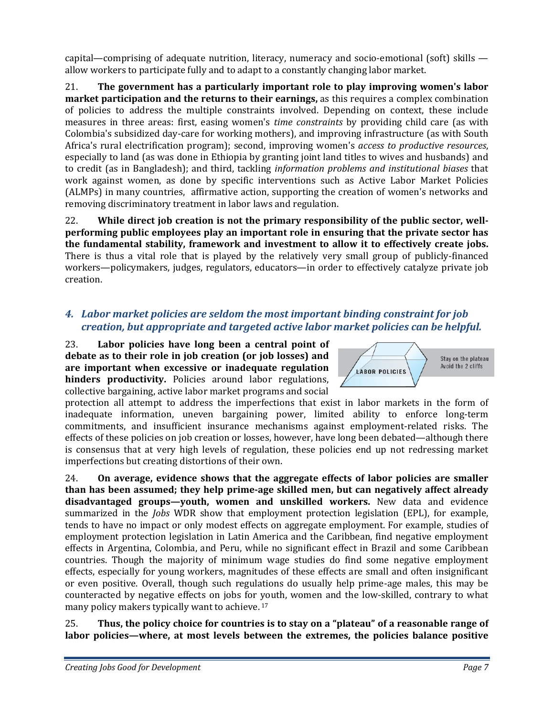capital—comprising of adequate nutrition, literacy, numeracy and socio-emotional (soft) skills allow workers to participate fully and to adapt to a constantly changing labor market.

21. **The government has a particularly important role to play improving women's labor market participation and the returns to their earnings,** as this requires a complex combination of policies to address the multiple constraints involved. Depending on context, these include measures in three areas: first, easing women's *time constraints* by providing child care (as with Colombia's subsidized day‐care for working mothers), and improving infrastructure (as with South Africa's rural electrification program); second, improving women's *access to productive resources*, especially to land (as was done in Ethiopia by granting joint land titles to wives and husbands) and to credit (as in Bangladesh); and third, tackling *information problems and institutional biases* that work against women, as done by specific interventions such as Active Labor Market Policies (ALMPs) in many countries, affirmative action, supporting the creation of women's networks and removing discriminatory treatment in labor laws and regulation.

22. **While direct job creation is not the primary responsibility of the public sector, wellperforming public employees play an important role in ensuring that the private sector has the fundamental stability, framework and investment to allow it to effectively create jobs.**  There is thus a vital role that is played by the relatively very small group of publicly-financed workers—policymakers, judges, regulators, educators—in order to effectively catalyze private job creation.

# *4. Labor market policies are seldom the most important binding constraint for job creation, but appropriate and targeted active labor market policies can be helpful.*

23. **Labor policies have long been a central point of debate as to their role in job creation (or job losses) and are important when excessive or inadequate regulation hinders productivity.** Policies around labor regulations, collective bargaining, active labor market programs and social

protection all attempt to address the imperfections that exist in labor markets in the form of inadequate information, uneven bargaining power, limited ability to enforce long-term commitments, and insufficient insurance mechanisms against employment‐related risks. The effects of these policies on job creation or losses, however, have long been debated—although there is consensus that at very high levels of regulation, these policies end up not redressing market imperfections but creating distortions of their own.

24. **On average, evidence shows that the aggregate effects of labor policies are smaller than has been assumed; they help primeage skilled men, but can negatively affect already disadvantaged groups—youth, women and unskilled workers.** New data and evidence summarized in the *Jobs* WDR show that employment protection legislation (EPL), for example, tends to have no impact or only modest effects on aggregate employment. For example, studies of employment protection legislation in Latin America and the Caribbean, find negative employment effects in Argentina, Colombia, and Peru, while no significant effect in Brazil and some Caribbean countries. Though the majority of minimum wage studies do find some negative employment effects, especially for young workers, magnitudes of these effects are small and often insignificant or even positive. Overall, though such regulations do usually help prime‐age males, this may be counteracted by negative effects on jobs for youth, women and the low‐skilled, contrary to what many policy makers typically want to achieve. 17

25. **Thus, the policy choice for countries is to stay on a "plateau" of a reasonable range of labor policies—where, at most levels between the extremes, the policies balance positive**

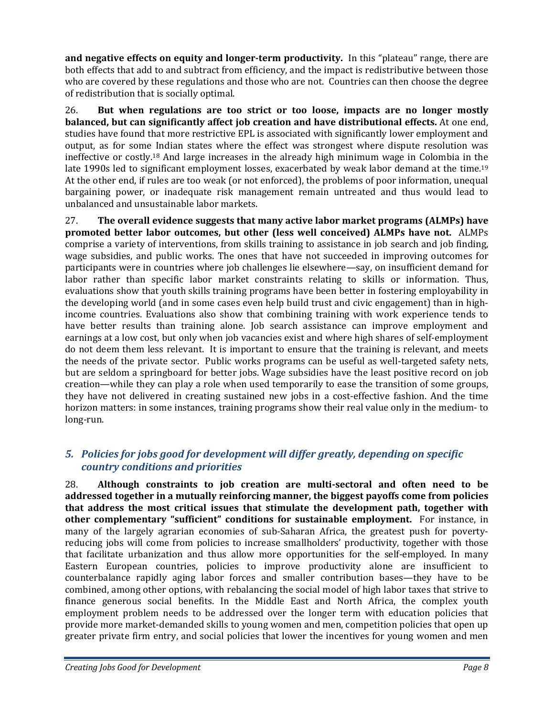**and negative effects on equity and longerterm productivity.** In this "plateau" range, there are both effects that add to and subtract from efficiency, and the impact is redistributive between those who are covered by these regulations and those who are not. Countries can then choose the degree of redistribution that is socially optimal.

26. **But when regulations are too strict or too loose, impacts are no longer mostly balanced, but can significantly affect job creation and have distributional effects.** At one end, studies have found that more restrictive EPL is associated with significantly lower employment and output, as for some Indian states where the effect was strongest where dispute resolution was ineffective or costly.18 And large increases in the already high minimum wage in Colombia in the late 1990s led to significant employment losses, exacerbated by weak labor demand at the time.<sup>19</sup> At the other end, if rules are too weak (or not enforced), the problems of poor information, unequal bargaining power, or inadequate risk management remain untreated and thus would lead to unbalanced and unsustainable labor markets.

27. **The overall evidence suggests that many active labor market programs (ALMPs) have promoted better labor outcomes, but other (less well conceived) ALMPs have not.** ALMPs comprise a variety of interventions, from skills training to assistance in job search and job finding, wage subsidies, and public works. The ones that have not succeeded in improving outcomes for participants were in countries where job challenges lie elsewhere—say, on insufficient demand for labor rather than specific labor market constraints relating to skills or information. Thus, evaluations show that youth skills training programs have been better in fostering employability in the developing world (and in some cases even help build trust and civic engagement) than in high‐ income countries. Evaluations also show that combining training with work experience tends to have better results than training alone. Job search assistance can improve employment and earnings at a low cost, but only when job vacancies exist and where high shares of self-employment do not deem them less relevant. It is important to ensure that the training is relevant, and meets the needs of the private sector. Public works programs can be useful as well-targeted safety nets, but are seldom a springboard for better jobs. Wage subsidies have the least positive record on job creation—while they can play a role when used temporarily to ease the transition of some groups, they have not delivered in creating sustained new jobs in a cost-effective fashion. And the time horizon matters: in some instances, training programs show their real value only in the medium-to long‐run.

# *5. Policies for jobs good for development will differ greatly, depending on specific country conditions and priorities*

28. **Although constraints to job creation are multisectoral and often need to be addressed together in a mutually reinforcing manner, the biggest payoffs come from policies that address the most critical issues that stimulate the development path, together with other complementary "sufficient" conditions for sustainable employment.**  For instance, in many of the largely agrarian economies of sub-Saharan Africa, the greatest push for povertyreducing jobs will come from policies to increase smallholders' productivity, together with those that facilitate urbanization and thus allow more opportunities for the self‐employed. In many Eastern European countries, policies to improve productivity alone are insufficient to counterbalance rapidly aging labor forces and smaller contribution bases—they have to be combined, among other options, with rebalancing the social model of high labor taxes that strive to finance generous social benefits. In the Middle East and North Africa, the complex youth employment problem needs to be addressed over the longer term with education policies that provide more market‐demanded skills to young women and men, competition policies that open up greater private firm entry, and social policies that lower the incentives for young women and men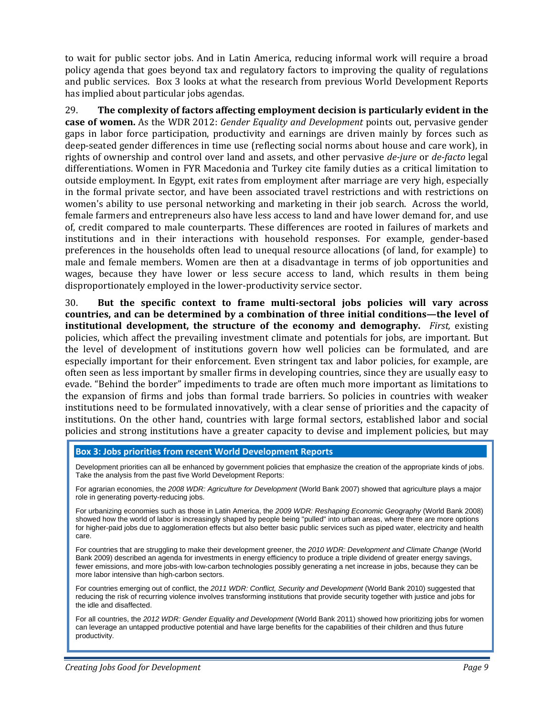to wait for public sector jobs. And in Latin America, reducing informal work will require a broad policy agenda that goes beyond tax and regulatory factors to improving the quality of regulations and public services. Box 3 looks at what the research from previous World Development Reports has implied about particular jobs agendas.

29. **The complexity of factors affecting employment decision is particularly evident in the case of women.** As the WDR 2012: *Gender Equality and Development* points out, pervasive gender gaps in labor force participation, productivity and earnings are driven mainly by forces such as deep‐seated gender differences in time use (reflecting social norms about house and care work), in rights of ownership and control over land and assets, and other pervasive *dejure* or *defacto* legal differentiations. Women in FYR Macedonia and Turkey cite family duties as a critical limitation to outside employment. In Egypt, exit rates from employment after marriage are very high, especially in the formal private sector, and have been associated travel restrictions and with restrictions on women's ability to use personal networking and marketing in their job search. Across the world, female farmers and entrepreneurs also have less access to land and have lower demand for, and use of, credit compared to male counterparts. These differences are rooted in failures of markets and institutions and in their interactions with household responses. For example, gender-based preferences in the households often lead to unequal resource allocations (of land, for example) to male and female members. Women are then at a disadvantage in terms of job opportunities and wages, because they have lower or less secure access to land, which results in them being disproportionately employed in the lower‐productivity service sector.

30. **But the specific context to frame multisectoral jobs policies will vary across countries, and can be determined by a combination of three initial conditions—the level of institutional development, the structure of the economy and demography.** *First,* existing policies, which affect the prevailing investment climate and potentials for jobs, are important. But the level of development of institutions govern how well policies can be formulated, and are especially important for their enforcement. Even stringent tax and labor policies, for example, are often seen as less important by smaller firms in developing countries, since they are usually easy to evade. "Behind the border" impediments to trade are often much more important as limitations to the expansion of firms and jobs than formal trade barriers. So policies in countries with weaker institutions need to be formulated innovatively, with a clear sense of priorities and the capacity of institutions. On the other hand, countries with large formal sectors, established labor and social policies and strong institutions have a greater capacity to devise and implement policies, but may

#### **Box 3: Jobs priorities from recent World Development Reports**

Development priorities can all be enhanced by government policies that emphasize the creation of the appropriate kinds of jobs. Take the analysis from the past five World Development Reports:

For agrarian economies, the *2008 WDR: Agriculture for Development* (World Bank 2007) showed that agriculture plays a major role in generating poverty-reducing jobs.

For urbanizing economies such as those in Latin America, the *2009 WDR: Reshaping Economic Geography* (World Bank 2008) showed how the world of labor is increasingly shaped by people being "pulled" into urban areas, where there are more options for higher-paid jobs due to agglomeration effects but also better basic public services such as piped water, electricity and health care.

For countries that are struggling to make their development greener, the *2010 WDR: Development and Climate Change* (World Bank 2009) described an agenda for investments in energy efficiency to produce a triple dividend of greater energy savings, fewer emissions, and more jobs-with low-carbon technologies possibly generating a net increase in jobs, because they can be more labor intensive than high-carbon sectors.

For countries emerging out of conflict, the *2011 WDR: Conflict, Security and Development* (World Bank 2010) suggested that reducing the risk of recurring violence involves transforming institutions that provide security together with justice and jobs for the idle and disaffected.

For all countries, the *2012 WDR: Gender Equality and Development* (World Bank 2011) showed how prioritizing jobs for women can leverage an untapped productive potential and have large benefits for the capabilities of their children and thus future productivity.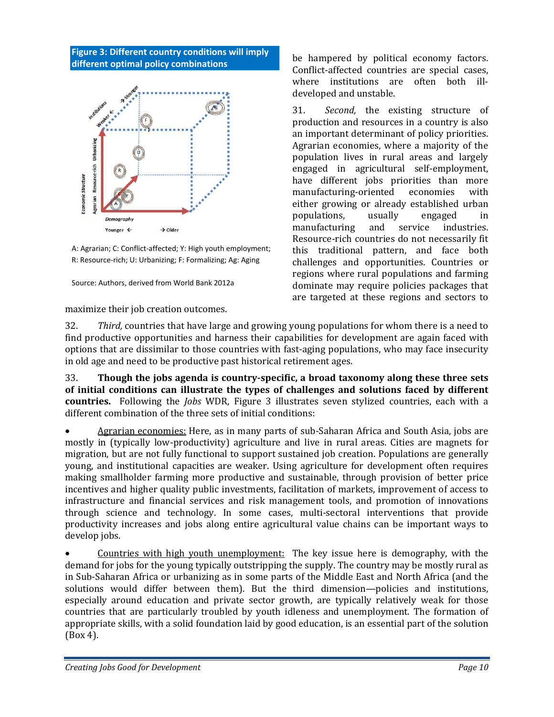#### **Figure 3: Different country conditions will imply different optimal policy combinations**



A: Agrarian; C: Conflict-affected; Y: High youth employment; R: Resource‐rich; U: Urbanizing; F: Formalizing; Ag: Aging

Source: Authors, derived from World Bank 2012a

maximize their job creation outcomes.

be hampered by political economy factors. Conflict‐affected countries are special cases, where institutions are often both illdeveloped and unstable.

31. *Second,* the existing structure of production and resources in a country is also an important determinant of policy priorities. Agrarian economies, where a majority of the population lives in rural areas and largely engaged in agricultural self‐employment, have different jobs priorities than more manufacturing‐oriented economies with either growing or already established urban populations, usually engaged in manufacturing and service industries. Resource‐rich countries do not necessarily fit this traditional pattern, and face both challenges and opportunities. Countries or regions where rural populations and farming dominate may require policies packages that are targeted at these regions and sectors to

32. *Third,* countries that have large and growing young populations for whom there is a need to find productive opportunities and harness their capabilities for development are again faced with options that are dissimilar to those countries with fast‐aging populations, who may face insecurity in old age and need to be productive past historical retirement ages.

33. **Though the jobs agenda is countryspecific, a broad taxonomy along these three sets of initial conditions can illustrate the types of challenges and solutions faced by different countries.** Following the *Jobs* WDR, Figure 3 illustrates seven stylized countries, each with a different combination of the three sets of initial conditions:

 Agrarian economies: Here, as in many parts of sub‐Saharan Africa and South Asia, jobs are mostly in (typically low‐productivity) agriculture and live in rural areas. Cities are magnets for migration, but are not fully functional to support sustained job creation. Populations are generally young, and institutional capacities are weaker. Using agriculture for development often requires making smallholder farming more productive and sustainable, through provision of better price incentives and higher quality public investments, facilitation of markets, improvement of access to infrastructure and financial services and risk management tools, and promotion of innovations through science and technology. In some cases, multi‐sectoral interventions that provide productivity increases and jobs along entire agricultural value chains can be important ways to develop jobs.

 Countries with high youth unemployment: The key issue here is demography, with the demand for jobs for the young typically outstripping the supply. The country may be mostly rural as in Sub‐Saharan Africa or urbanizing as in some parts of the Middle East and North Africa (and the solutions would differ between them). But the third dimension—policies and institutions, especially around education and private sector growth, are typically relatively weak for those countries that are particularly troubled by youth idleness and unemployment. The formation of appropriate skills, with a solid foundation laid by good education, is an essential part of the solution (Box 4).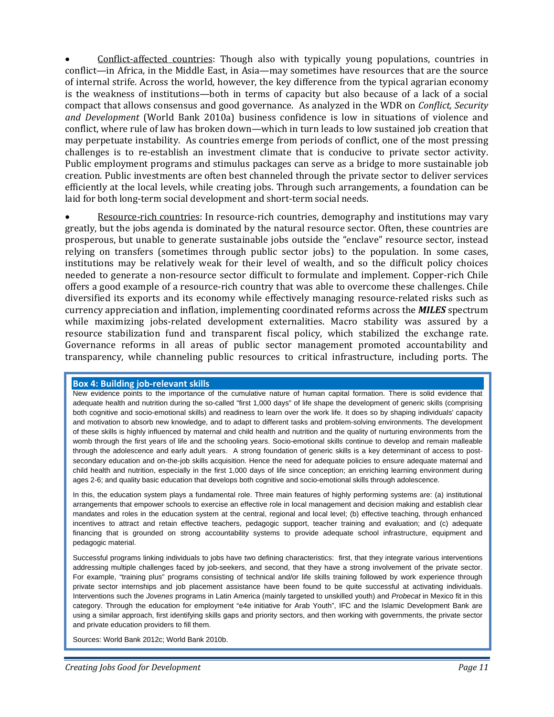Conflict‐affected countries: Though also with typically young populations, countries in conflict—in Africa, in the Middle East, in Asia—may sometimes have resources that are the source of internal strife. Across the world, however, the key difference from the typical agrarian economy is the weakness of institutions—both in terms of capacity but also because of a lack of a social compact that allows consensus and good governance. As analyzed in the WDR on *Conflict, Security and Development* (World Bank 2010a) business confidence is low in situations of violence and conflict, where rule of law has broken down—which in turn leads to low sustained job creation that may perpetuate instability. As countries emerge from periods of conflict, one of the most pressing challenges is to re-establish an investment climate that is conducive to private sector activity. Public employment programs and stimulus packages can serve as a bridge to more sustainable job creation. Public investments are often best channeled through the private sector to deliver services efficiently at the local levels, while creating jobs. Through such arrangements, a foundation can be laid for both long-term social development and short-term social needs.

Resource-rich countries: In resource-rich countries, demography and institutions may vary greatly, but the jobs agenda is dominated by the natural resource sector. Often, these countries are prosperous, but unable to generate sustainable jobs outside the "enclave" resource sector, instead relying on transfers (sometimes through public sector jobs) to the population. In some cases, institutions may be relatively weak for their level of wealth, and so the difficult policy choices needed to generate a non‐resource sector difficult to formulate and implement. Copper‐rich Chile offers a good example of a resource‐rich country that was able to overcome these challenges. Chile diversified its exports and its economy while effectively managing resource-related risks such as currency appreciation and inflation, implementing coordinated reforms across the *MILES* spectrum while maximizing jobs-related development externalities. Macro stability was assured by a resource stabilization fund and transparent fiscal policy, which stabilized the exchange rate. Governance reforms in all areas of public sector management promoted accountability and transparency, while channeling public resources to critical infrastructure, including ports. The

#### **Box 4: Building job‐relevant skills**

New evidence points to the importance of the cumulative nature of human capital formation. There is solid evidence that adequate health and nutrition during the so-called "first 1,000 days" of life shape the development of generic skills (comprising both cognitive and socio-emotional skills) and readiness to learn over the work life. It does so by shaping individuals' capacity and motivation to absorb new knowledge, and to adapt to different tasks and problem-solving environments. The development of these skills is highly influenced by maternal and child health and nutrition and the quality of nurturing environments from the womb through the first years of life and the schooling years. Socio-emotional skills continue to develop and remain malleable through the adolescence and early adult years. A strong foundation of generic skills is a key determinant of access to postsecondary education and on-the-job skills acquisition. Hence the need for adequate policies to ensure adequate maternal and child health and nutrition, especially in the first 1,000 days of life since conception; an enriching learning environment during ages 2-6; and quality basic education that develops both cognitive and socio-emotional skills through adolescence.

In this, the education system plays a fundamental role. Three main features of highly performing systems are: (a) institutional arrangements that empower schools to exercise an effective role in local management and decision making and establish clear mandates and roles in the education system at the central, regional and local level; (b) effective teaching, through enhanced incentives to attract and retain effective teachers, pedagogic support, teacher training and evaluation; and (c) adequate financing that is grounded on strong accountability systems to provide adequate school infrastructure, equipment and pedagogic material.

Successful programs linking individuals to jobs have two defining characteristics: first, that they integrate various interventions addressing multiple challenges faced by job-seekers, and second, that they have a strong involvement of the private sector. For example, "training plus" programs consisting of technical and/or life skills training followed by work experience through private sector internships and job placement assistance have been found to be quite successful at activating individuals. Interventions such the *Jovenes* programs in Latin America (mainly targeted to unskilled youth) and *Probecat* in Mexico fit in this category. Through the education for employment "e4e initiative for Arab Youth", IFC and the Islamic Development Bank are using a similar approach, first identifying skills gaps and priority sectors, and then working with governments, the private sector and private education providers to fill them.

Sources: World Bank 2012c; World Bank 2010b.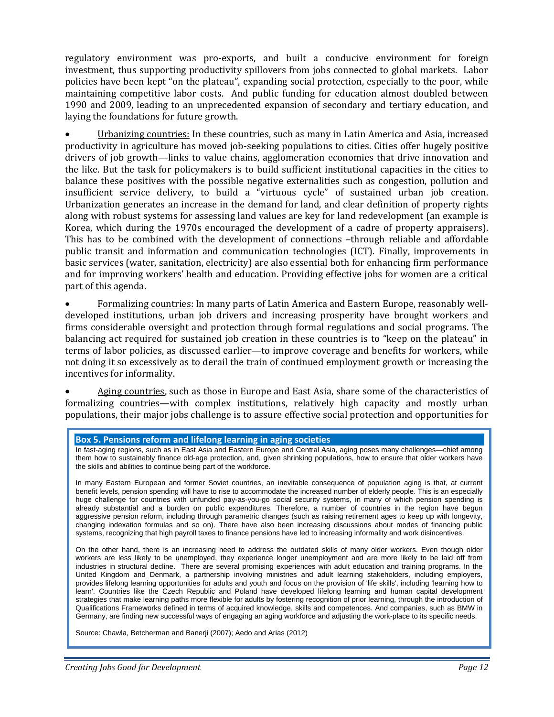regulatory environment was pro-exports, and built a conducive environment for foreign investment, thus supporting productivity spillovers from jobs connected to global markets. Labor policies have been kept "on the plateau", expanding social protection, especially to the poor, while maintaining competitive labor costs. And public funding for education almost doubled between 1990 and 2009, leading to an unprecedented expansion of secondary and tertiary education, and laying the foundations for future growth.

Urbanizing countries: In these countries, such as many in Latin America and Asia, increased productivity in agriculture has moved job-seeking populations to cities. Cities offer hugely positive drivers of job growth—links to value chains, agglomeration economies that drive innovation and the like. But the task for policymakers is to build sufficient institutional capacities in the cities to balance these positives with the possible negative externalities such as congestion, pollution and insufficient service delivery, to build a "virtuous cycle" of sustained urban job creation. Urbanization generates an increase in the demand for land, and clear definition of property rights along with robust systems for assessing land values are key for land redevelopment (an example is Korea, which during the 1970s encouraged the development of a cadre of property appraisers). This has to be combined with the development of connections -through reliable and affordable public transit and information and communication technologies (ICT). Finally, improvements in basic services (water, sanitation, electricity) are also essential both for enhancing firm performance and for improving workers' health and education. Providing effective jobs for women are a critical part of this agenda.

 Formalizing countries: In many parts of Latin America and Eastern Europe, reasonably well‐ developed institutions, urban job drivers and increasing prosperity have brought workers and firms considerable oversight and protection through formal regulations and social programs. The balancing act required for sustained job creation in these countries is to "keep on the plateau" in terms of labor policies, as discussed earlier—to improve coverage and benefits for workers, while not doing it so excessively as to derail the train of continued employment growth or increasing the incentives for informality.

 Aging countries, such as those in Europe and East Asia, share some of the characteristics of formalizing countries—with complex institutions, relatively high capacity and mostly urban populations, their major jobs challenge is to assure effective social protection and opportunities for

#### **Box 5. Pensions reform and lifelong learning in aging societies**

In fast-aging regions, such as in East Asia and Eastern Europe and Central Asia, aging poses many challenges—chief among them how to sustainably finance old-age protection, and, given shrinking populations, how to ensure that older workers have the skills and abilities to continue being part of the workforce.

In many Eastern European and former Soviet countries, an inevitable consequence of population aging is that, at current benefit levels, pension spending will have to rise to accommodate the increased number of elderly people. This is an especially huge challenge for countries with unfunded pay-as-you-go social security systems, in many of which pension spending is already substantial and a burden on public expenditures. Therefore, a number of countries in the region have begun aggressive pension reform, including through parametric changes (such as raising retirement ages to keep up with longevity, changing indexation formulas and so on). There have also been increasing discussions about modes of financing public systems, recognizing that high payroll taxes to finance pensions have led to increasing informality and work disincentives.

On the other hand, there is an increasing need to address the outdated skills of many older workers. Even though older workers are less likely to be unemployed, they experience longer unemployment and are more likely to be laid off from industries in structural decline. There are several promising experiences with adult education and training programs. In the United Kingdom and Denmark, a partnership involving ministries and adult learning stakeholders, including employers, provides lifelong learning opportunities for adults and youth and focus on the provision of 'life skills', including 'learning how to learn'. Countries like the Czech Republic and Poland have developed lifelong learning and human capital development strategies that make learning paths more flexible for adults by fostering recognition of prior learning, through the introduction of Qualifications Frameworks defined in terms of acquired knowledge, skills and competences. And companies, such as BMW in Germany, are finding new successful ways of engaging an aging workforce and adjusting the work-place to its specific needs.

Source: Chawla, Betcherman and Banerji (2007); Aedo and Arias (2012)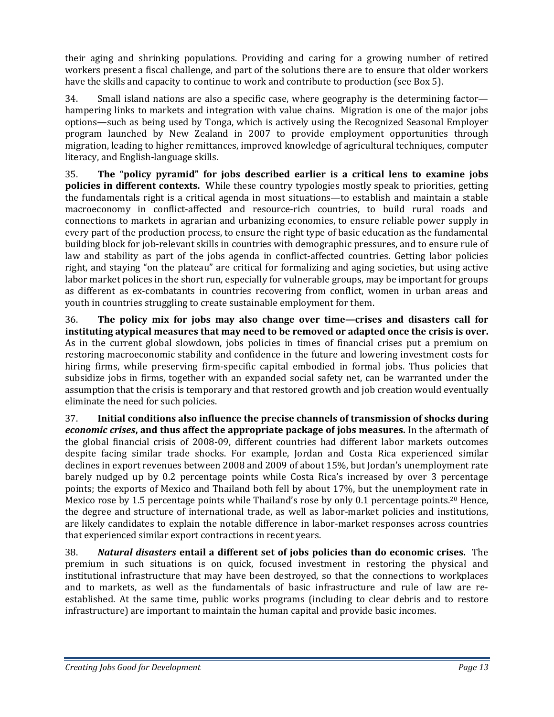their aging and shrinking populations. Providing and caring for a growing number of retired workers present a fiscal challenge, and part of the solutions there are to ensure that older workers have the skills and capacity to continue to work and contribute to production (see Box 5).

34. Small island nations are also a specific case, where geography is the determining factor hampering links to markets and integration with value chains. Migration is one of the major jobs options—such as being used by Tonga, which is actively using the Recognized Seasonal Employer program launched by New Zealand in 2007 to provide employment opportunities through migration, leading to higher remittances, improved knowledge of agricultural techniques, computer literacy, and English‐language skills.

35. **The "policy pyramid" for jobs described earlier is a critical lens to examine jobs policies in different contexts.** While these country typologies mostly speak to priorities, getting the fundamentals right is a critical agenda in most situations—to establish and maintain a stable macroeconomy in conflict-affected and resource-rich countries, to build rural roads and connections to markets in agrarian and urbanizing economies, to ensure reliable power supply in every part of the production process, to ensure the right type of basic education as the fundamental building block for job‐relevant skills in countries with demographic pressures, and to ensure rule of law and stability as part of the jobs agenda in conflict-affected countries. Getting labor policies right, and staying "on the plateau" are critical for formalizing and aging societies, but using active labor market polices in the short run, especially for vulnerable groups, may be important for groups as different as ex-combatants in countries recovering from conflict, women in urban areas and youth in countries struggling to create sustainable employment for them.

36. **The policy mix for jobs may also change over time—crises and disasters call for instituting atypical measures that may need to be removed or adapted once the crisis is over.** As in the current global slowdown, jobs policies in times of financial crises put a premium on restoring macroeconomic stability and confidence in the future and lowering investment costs for hiring firms, while preserving firm-specific capital embodied in formal jobs. Thus policies that subsidize jobs in firms, together with an expanded social safety net, can be warranted under the assumption that the crisis is temporary and that restored growth and job creation would eventually eliminate the need for such policies.

37. **Initial conditions also influence the precise channels of transmission of shocks during** *economic crises***, and thus affect the appropriate package of jobs measures.** In the aftermath of the global financial crisis of 2008‐09, different countries had different labor markets outcomes despite facing similar trade shocks. For example, Jordan and Costa Rica experienced similar declines in export revenues between 2008 and 2009 of about 15%, but Jordan's unemployment rate barely nudged up by 0.2 percentage points while Costa Rica's increased by over 3 percentage points; the exports of Mexico and Thailand both fell by about 17%, but the unemployment rate in Mexico rose by 1.5 percentage points while Thailand's rose by only 0.1 percentage points.20 Hence, the degree and structure of international trade, as well as labor‐market policies and institutions, are likely candidates to explain the notable difference in labor‐market responses across countries that experienced similar export contractions in recent years.

38. *Natural disasters* **entail a different set of jobs policies than do economic crises.** The premium in such situations is on quick, focused investment in restoring the physical and institutional infrastructure that may have been destroyed, so that the connections to workplaces and to markets, as well as the fundamentals of basic infrastructure and rule of law are reestablished. At the same time, public works programs (including to clear debris and to restore infrastructure) are important to maintain the human capital and provide basic incomes.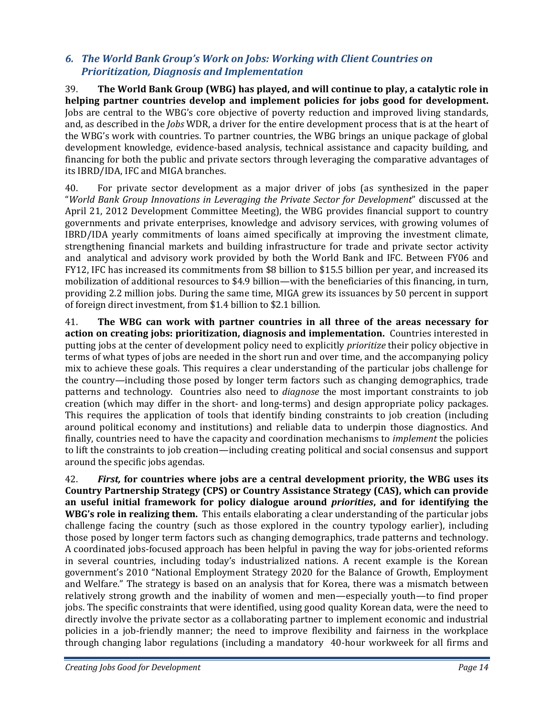### *6. The World Bank Group's Work on Jobs: Working with Client Countries on Prioritization, Diagnosis and Implementation*

39. **The World Bank Group (WBG) has played, and will continue to play, a catalytic role in helping partner countries develop and implement policies for jobs good for development.**  Jobs are central to the WBG's core objective of poverty reduction and improved living standards, and, as described in the *Jobs* WDR, a driver for the entire development process that is at the heart of the WBG's work with countries. To partner countries, the WBG brings an unique package of global development knowledge, evidence‐based analysis, technical assistance and capacity building, and financing for both the public and private sectors through leveraging the comparative advantages of its IBRD/IDA, IFC and MIGA branches.

40. For private sector development as a major driver of jobs (as synthesized in the paper "*World Bank Group Innovations in Leveraging the Private Sector for Development*" discussed at the April 21, 2012 Development Committee Meeting), the WBG provides financial support to country governments and private enterprises, knowledge and advisory services, with growing volumes of IBRD/IDA yearly commitments of loans aimed specifically at improving the investment climate, strengthening financial markets and building infrastructure for trade and private sector activity and analytical and advisory work provided by both the World Bank and IFC. Between FY06 and FY12, IFC has increased its commitments from \$8 billion to \$15.5 billion per year, and increased its mobilization of additional resources to \$4.9 billion—with the beneficiaries of this financing, in turn, providing 2.2 million jobs. During the same time, MIGA grew its issuances by 50 percent in support of foreign direct investment, from \$1.4 billion to \$2.1 billion.

41. **The WBG can work with partner countries in all three of the areas necessary for action on creating jobs: prioritization, diagnosis and implementation.** Countries interested in putting jobs at the center of development policy need to explicitly *prioritize* their policy objective in terms of what types of jobs are needed in the short run and over time, and the accompanying policy mix to achieve these goals. This requires a clear understanding of the particular jobs challenge for the country—including those posed by longer term factors such as changing demographics, trade patterns and technology. Countries also need to *diagnose* the most important constraints to job creation (which may differ in the short‐ and long‐terms) and design appropriate policy packages. This requires the application of tools that identify binding constraints to job creation (including around political economy and institutions) and reliable data to underpin those diagnostics. And finally, countries need to have the capacity and coordination mechanisms to *implement* the policies to lift the constraints to job creation—including creating political and social consensus and support around the specific jobs agendas.

42. *First,* **for countries where jobs are a central development priority, the WBG uses its Country Partnership Strategy (CPS) or Country Assistance Strategy (CAS), which can provide an useful initial framework for policy dialogue around** *priorities***, and for identifying the WBG's role in realizing them.** This entails elaborating a clear understanding of the particular jobs challenge facing the country (such as those explored in the country typology earlier), including those posed by longer term factors such as changing demographics, trade patterns and technology. A coordinated jobs‐focused approach has been helpful in paving the way for jobs‐oriented reforms in several countries, including today's industrialized nations. A recent example is the Korean government's 2010 "National Employment Strategy 2020 for the Balance of Growth, Employment and Welfare." The strategy is based on an analysis that for Korea, there was a mismatch between relatively strong growth and the inability of women and men—especially youth—to find proper jobs. The specific constraints that were identified, using good quality Korean data, were the need to directly involve the private sector as a collaborating partner to implement economic and industrial policies in a job‐friendly manner; the need to improve flexibility and fairness in the workplace through changing labor regulations (including a mandatory 40-hour workweek for all firms and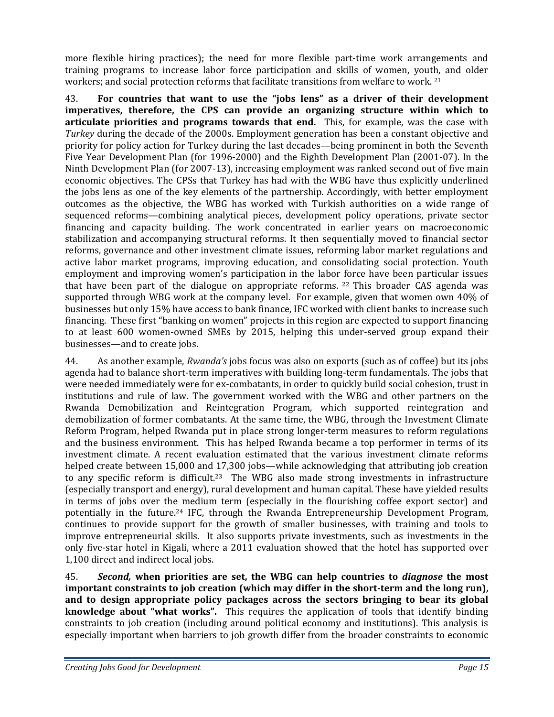more flexible hiring practices); the need for more flexible part-time work arrangements and training programs to increase labor force participation and skills of women, youth, and older workers; and social protection reforms that facilitate transitions from welfare to work. <sup>21</sup>

43. **For countries that want to use the "jobs lens" as a driver of their development imperatives, therefore, the CPS can provide an organizing structure within which to articulate priorities and programs towards that end.** This, for example, was the case with *Turkey* during the decade of the 2000s. Employment generation has been a constant objective and priority for policy action for Turkey during the last decades—being prominent in both the Seventh Five Year Development Plan (for 1996‐2000) and the Eighth Development Plan (2001‐07). In the Ninth Development Plan (for 2007‐13), increasing employment was ranked second out of five main economic objectives. The CPSs that Turkey has had with the WBG have thus explicitly underlined the jobs lens as one of the key elements of the partnership. Accordingly, with better employment outcomes as the objective, the WBG has worked with Turkish authorities on a wide range of sequenced reforms—combining analytical pieces, development policy operations, private sector financing and capacity building. The work concentrated in earlier years on macroeconomic stabilization and accompanying structural reforms. It then sequentially moved to financial sector reforms, governance and other investment climate issues, reforming labor market regulations and active labor market programs, improving education, and consolidating social protection. Youth employment and improving women's participation in the labor force have been particular issues that have been part of the dialogue on appropriate reforms.  $22$  This broader CAS agenda was supported through WBG work at the company level. For example, given that women own 40% of businesses but only 15% have access to bank finance, IFC worked with client banks to increase such financing. These first "banking on women" projects in this region are expected to support financing to at least 600 women-owned SMEs by 2015, helping this under-served group expand their businesses—and to create jobs.

44. As another example, *Rwanda's* jobs focus was also on exports (such as of coffee) but its jobs agenda had to balance short-term imperatives with building long-term fundamentals. The jobs that were needed immediately were for ex-combatants, in order to quickly build social cohesion, trust in institutions and rule of law. The government worked with the WBG and other partners on the Rwanda Demobilization and Reintegration Program, which supported reintegration and demobilization of former combatants. At the same time, the WBG, through the Investment Climate Reform Program, helped Rwanda put in place strong longer‐term measures to reform regulations and the business environment. This has helped Rwanda became a top performer in terms of its investment climate. A recent evaluation estimated that the various investment climate reforms helped create between 15,000 and 17,300 jobs—while acknowledging that attributing job creation to any specific reform is difficult.<sup>23</sup> The WBG also made strong investments in infrastructure (especially transport and energy), rural development and human capital. These have yielded results in terms of jobs over the medium term (especially in the flourishing coffee export sector) and potentially in the future.24 IFC, through the Rwanda Entrepreneurship Development Program, continues to provide support for the growth of smaller businesses, with training and tools to improve entrepreneurial skills. It also supports private investments, such as investments in the only five-star hotel in Kigali, where a 2011 evaluation showed that the hotel has supported over 1,100 direct and indirect local jobs.

45. *Second,* **when priorities are set, the WBG can help countries to** *diagnose* **the most important constraints to job creation (which may differ in the shortterm and the long run), and to design appropriate policy packages across the sectors bringing to bear its global knowledge about "what works".**  This requires the application of tools that identify binding constraints to job creation (including around political economy and institutions). This analysis is especially important when barriers to job growth differ from the broader constraints to economic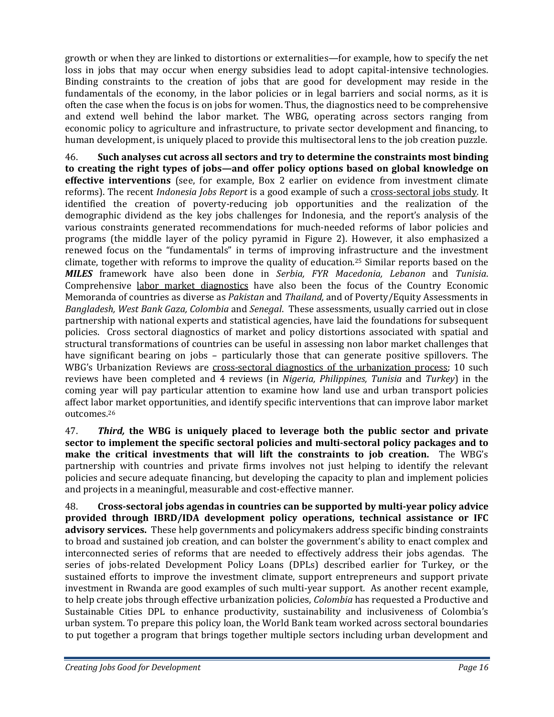growth or when they are linked to distortions or externalities—for example, how to specify the net loss in jobs that may occur when energy subsidies lead to adopt capital-intensive technologies. Binding constraints to the creation of jobs that are good for development may reside in the fundamentals of the economy, in the labor policies or in legal barriers and social norms, as it is often the case when the focus is on jobs for women. Thus, the diagnostics need to be comprehensive and extend well behind the labor market. The WBG, operating across sectors ranging from economic policy to agriculture and infrastructure, to private sector development and financing, to human development, is uniquely placed to provide this multisectoral lens to the job creation puzzle.

46. **Such analyses cut across all sectors and try to determine the constraints most binding to creating the right types of jobs—and offer policy options based on global knowledge on effective interventions** (see, for example, Box 2 earlier on evidence from investment climate reforms). The recent *Indonesia Jobs Report* is a good example of such a cross‐sectoral jobs study. It identified the creation of poverty-reducing job opportunities and the realization of the demographic dividend as the key jobs challenges for Indonesia, and the report's analysis of the various constraints generated recommendations for much‐needed reforms of labor policies and programs (the middle layer of the policy pyramid in Figure 2). However, it also emphasized a renewed focus on the "fundamentals" in terms of improving infrastructure and the investment climate, together with reforms to improve the quality of education.25 Similar reports based on the *MILES* framework have also been done in *Serbia, FYR Macedonia, Lebanon* and *Tunisia*. Comprehensive labor market diagnostics have also been the focus of the Country Economic Memoranda of countries as diverse as *Pakistan* and *Thailand,* and of Poverty/Equity Assessments in *Bangladesh, West Bank Gaza, Colombia* and *Senegal*. These assessments, usually carried out in close partnership with national experts and statistical agencies, have laid the foundations for subsequent policies. Cross sectoral diagnostics of market and policy distortions associated with spatial and structural transformations of countries can be useful in assessing non labor market challenges that have significant bearing on jobs - particularly those that can generate positive spillovers. The WBG's Urbanization Reviews are cross-sectoral diagnostics of the urbanization process; 10 such reviews have been completed and 4 reviews (in *Nigeria, Philippines, Tunisia* and *Turkey*) in the coming year will pay particular attention to examine how land use and urban transport policies affect labor market opportunities, and identify specific interventions that can improve labor market outcomes.26

47. *Third,* **the WBG is uniquely placed to leverage both the public sector and private sector to implement the specific sectoral policies and multisectoral policy packages and to make the critical investments that will lift the constraints to job creation.**  The WBG's partnership with countries and private firms involves not just helping to identify the relevant policies and secure adequate financing, but developing the capacity to plan and implement policies and projects in a meaningful, measurable and cost-effective manner.

48. **Crosssectoral jobs agendas in countries can be supported by multiyear policy advice provided through IBRD/IDA development policy operations, technical assistance or IFC advisory services.** These help governments and policymakers address specific binding constraints to broad and sustained job creation, and can bolster the government's ability to enact complex and interconnected series of reforms that are needed to effectively address their jobs agendas. The series of jobs-related Development Policy Loans (DPLs) described earlier for Turkey, or the sustained efforts to improve the investment climate, support entrepreneurs and support private investment in Rwanda are good examples of such multi-year support. As another recent example, to help create jobs through effective urbanization policies, *Colombia* has requested a Productive and Sustainable Cities DPL to enhance productivity, sustainability and inclusiveness of Colombia's urban system. To prepare this policy loan, the World Bank team worked across sectoral boundaries to put together a program that brings together multiple sectors including urban development and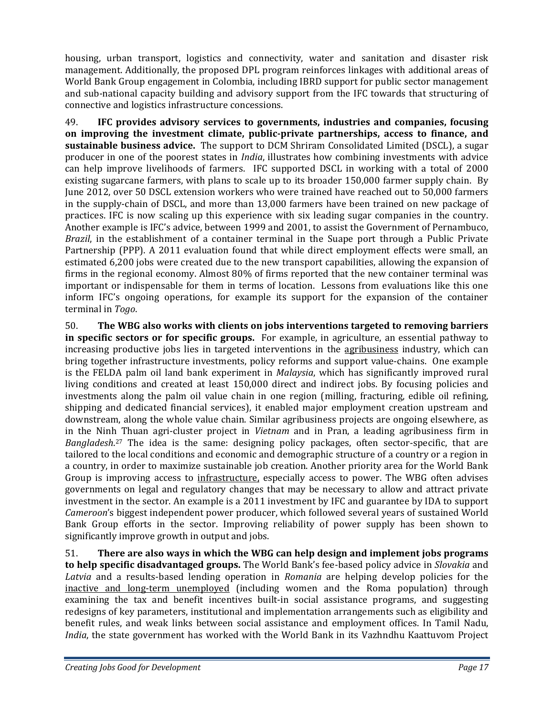housing, urban transport, logistics and connectivity, water and sanitation and disaster risk management. Additionally, the proposed DPL program reinforces linkages with additional areas of World Bank Group engagement in Colombia, including IBRD support for public sector management and sub‐national capacity building and advisory support from the IFC towards that structuring of connective and logistics infrastructure concessions.

49. **IFC provides advisory services to governments, industries and companies, focusing on improving the investment climate, publicprivate partnerships, access to finance, and sustainable business advice.** The support to DCM Shriram Consolidated Limited (DSCL), a sugar producer in one of the poorest states in *India*, illustrates how combining investments with advice can help improve livelihoods of farmers. IFC supported DSCL in working with a total of 2000 existing sugarcane farmers, with plans to scale up to its broader 150,000 farmer supply chain. By June 2012, over 50 DSCL extension workers who were trained have reached out to 50,000 farmers in the supply‐chain of DSCL, and more than 13,000 farmers have been trained on new package of practices. IFC is now scaling up this experience with six leading sugar companies in the country. Another example is IFC's advice, between 1999 and 2001, to assist the Government of Pernambuco, *Brazil*, in the establishment of a container terminal in the Suape port through a Public Private Partnership (PPP). A 2011 evaluation found that while direct employment effects were small, an estimated 6,200 jobs were created due to the new transport capabilities, allowing the expansion of firms in the regional economy. Almost 80% of firms reported that the new container terminal was important or indispensable for them in terms of location. Lessons from evaluations like this one inform IFC's ongoing operations, for example its support for the expansion of the container terminal in *Togo*.

50. **The WBG also works with clients on jobs interventions targeted to removing barriers in specific sectors or for specific groups.** For example, in agriculture, an essential pathway to increasing productive jobs lies in targeted interventions in the agribusiness industry, which can bring together infrastructure investments, policy reforms and support value‐chains. One example is the FELDA palm oil land bank experiment in *Malaysia*, which has significantly improved rural living conditions and created at least 150,000 direct and indirect jobs. By focusing policies and investments along the palm oil value chain in one region (milling, fracturing, edible oil refining, shipping and dedicated financial services), it enabled major employment creation upstream and downstream, along the whole value chain. Similar agribusiness projects are ongoing elsewhere, as in the Ninh Thuan agri‐cluster project in *Vietnam* and in Pran, a leading agribusiness firm in Bangladesh.<sup>27</sup> The idea is the same: designing policy packages, often sector-specific, that are tailored to the local conditions and economic and demographic structure of a country or a region in a country, in order to maximize sustainable job creation. Another priority area for the World Bank Group is improving access to infrastructure, especially access to power. The WBG often advises governments on legal and regulatory changes that may be necessary to allow and attract private investment in the sector. An example is a 2011 investment by IFC and guarantee by IDA to support *Cameroon*'s biggest independent power producer, which followed several years of sustained World Bank Group efforts in the sector. Improving reliability of power supply has been shown to significantly improve growth in output and jobs.

51. **There are also ways in which the WBG can help design and implement jobs programs to help specific disadvantaged groups.** The World Bank's fee‐based policy advice in *Slovakia* and *Latvia* and a results‐based lending operation in *Romania* are helping develop policies for the inactive and long-term unemployed (including women and the Roma population) through examining the tax and benefit incentives built-in social assistance programs, and suggesting redesigns of key parameters, institutional and implementation arrangements such as eligibility and benefit rules, and weak links between social assistance and employment offices. In Tamil Nadu, *India*, the state government has worked with the World Bank in its Vazhndhu Kaattuvom Project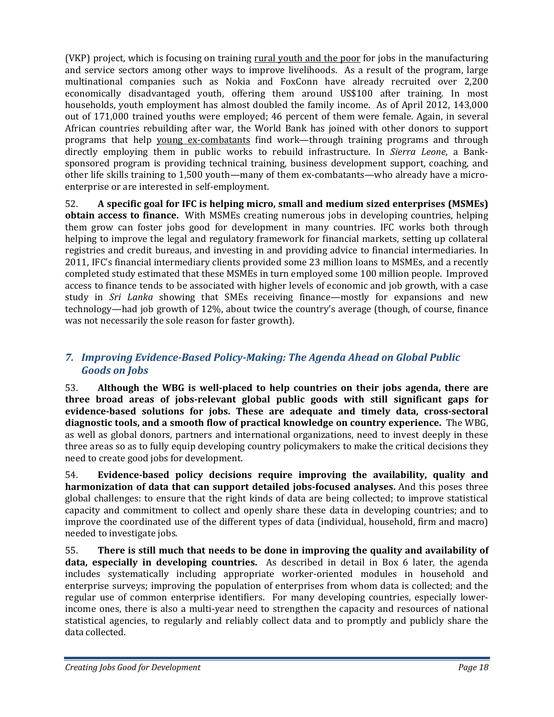(VKP) project, which is focusing on training rural youth and the poor for jobs in the manufacturing and service sectors among other ways to improve livelihoods. As a result of the program, large multinational companies such as Nokia and FoxConn have already recruited over 2,200 economically disadvantaged youth, offering them around US\$100 after training. In most households, youth employment has almost doubled the family income. As of April 2012, 143,000 out of 171,000 trained youths were employed; 46 percent of them were female. Again, in several African countries rebuilding after war, the World Bank has joined with other donors to support programs that help young ex‐combatants find work—through training programs and through directly employing them in public works to rebuild infrastructure. In *Sierra Leone*, a Bank‐ sponsored program is providing technical training, business development support, coaching, and other life skills training to 1,500 youth—many of them ex-combatants—who already have a microenterprise or are interested in self‐employment.

52. **A specific goal for IFC is helping micro, small and medium sized enterprises (MSMEs) obtain access to finance.** With MSMEs creating numerous jobs in developing countries, helping them grow can foster jobs good for development in many countries. IFC works both through helping to improve the legal and regulatory framework for financial markets, setting up collateral registries and credit bureaus, and investing in and providing advice to financial intermediaries. In 2011, IFC's financial intermediary clients provided some 23 million loans to MSMEs, and a recently completed study estimated that these MSMEs in turn employed some 100 million people. Improved access to finance tends to be associated with higher levels of economic and job growth, with a case study in *Sri Lanka* showing that SMEs receiving finance—mostly for expansions and new technology—had job growth of 12%, about twice the country's average (though, of course, finance was not necessarily the sole reason for faster growth).

# *7. Improving EvidenceBased PolicyMaking: The Agenda Ahead on Global Public Goods on Jobs*

53. **Although the WBG is wellplaced to help countries on their jobs agenda, there are three broad areas of jobsrelevant global public goods with still significant gaps for evidencebased solutions for jobs. These are adequate and timely data, crosssectoral diagnostic tools, and a smooth flow of practical knowledge on country experience.** The WBG, as well as global donors, partners and international organizations, need to invest deeply in these three areas so as to fully equip developing country policymakers to make the critical decisions they need to create good jobs for development.

54. **Evidencebased policy decisions require improving the availability, quality and harmonization of data that can support detailed jobsfocused analyses.** And this poses three global challenges: to ensure that the right kinds of data are being collected; to improve statistical capacity and commitment to collect and openly share these data in developing countries; and to improve the coordinated use of the different types of data (individual, household, firm and macro) needed to investigate jobs.

55. **There is still much that needs to be done in improving the quality and availability of data, especially in developing countries.** As described in detail in Box 6 later, the agenda includes systematically including appropriate worker-oriented modules in household and enterprise surveys; improving the population of enterprises from whom data is collected; and the regular use of common enterprise identifiers. For many developing countries, especially lowerincome ones, there is also a multi-year need to strengthen the capacity and resources of national statistical agencies, to regularly and reliably collect data and to promptly and publicly share the data collected.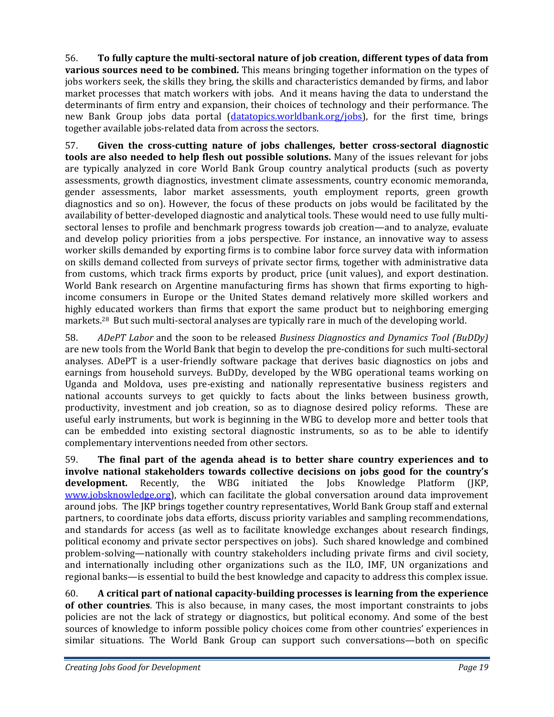56. **To fully capture the multisectoral nature of job creation, different types of data from various sources need to be combined.** This means bringing together information on the types of jobs workers seek, the skills they bring, the skills and characteristics demanded by firms, and labor market processes that match workers with jobs. And it means having the data to understand the determinants of firm entry and expansion, their choices of technology and their performance. The new Bank Group jobs data portal (datatopics.worldbank.org/jobs), for the first time, brings together available jobs‐related data from across the sectors.

57. **Given the crosscutting nature of jobs challenges, better crosssectoral diagnostic tools are also needed to help flesh out possible solutions.** Many of the issues relevant for jobs are typically analyzed in core World Bank Group country analytical products (such as poverty assessments, growth diagnostics, investment climate assessments, country economic memoranda, gender assessments, labor market assessments, youth employment reports, green growth diagnostics and so on). However, the focus of these products on jobs would be facilitated by the availability of better-developed diagnostic and analytical tools. These would need to use fully multisectoral lenses to profile and benchmark progress towards job creation—and to analyze, evaluate and develop policy priorities from a jobs perspective. For instance, an innovative way to assess worker skills demanded by exporting firms is to combine labor force survey data with information on skills demand collected from surveys of private sector firms, together with administrative data from customs, which track firms exports by product, price (unit values), and export destination. World Bank research on Argentine manufacturing firms has shown that firms exporting to highincome consumers in Europe or the United States demand relatively more skilled workers and highly educated workers than firms that export the same product but to neighboring emerging markets.<sup>28</sup> But such multi-sectoral analyses are typically rare in much of the developing world.

58. *ADePT Labor* and the soon to be released *Business Diagnostics and Dynamics Tool (BuDDy)* are new tools from the World Bank that begin to develop the pre‐conditions for such multi‐sectoral analyses. ADePT is a user‐friendly software package that derives basic diagnostics on jobs and earnings from household surveys. BuDDy, developed by the WBG operational teams working on Uganda and Moldova, uses pre‐existing and nationally representative business registers and national accounts surveys to get quickly to facts about the links between business growth, productivity, investment and job creation, so as to diagnose desired policy reforms. These are useful early instruments, but work is beginning in the WBG to develop more and better tools that can be embedded into existing sectoral diagnostic instruments, so as to be able to identify complementary interventions needed from other sectors.

59. **The final part of the agenda ahead is to better share country experiences and to involve national stakeholders towards collective decisions on jobs good for the country's development.** Recently, the WBG initiated the Jobs Knowledge Platform (JKP, www.jobsknowledge.org), which can facilitate the global conversation around data improvement around jobs. The JKP brings together country representatives, World Bank Group staff and external partners, to coordinate jobs data efforts, discuss priority variables and sampling recommendations, and standards for access (as well as to facilitate knowledge exchanges about research findings, political economy and private sector perspectives on jobs). Such shared knowledge and combined problem‐solving—nationally with country stakeholders including private firms and civil society, and internationally including other organizations such as the ILO, IMF, UN organizations and regional banks—is essential to build the best knowledge and capacity to address this complex issue.

60. **A critical part of national capacitybuilding processes is learning from the experience of other countries**. This is also because, in many cases, the most important constraints to jobs policies are not the lack of strategy or diagnostics, but political economy. And some of the best sources of knowledge to inform possible policy choices come from other countries' experiences in similar situations. The World Bank Group can support such conversations—both on specific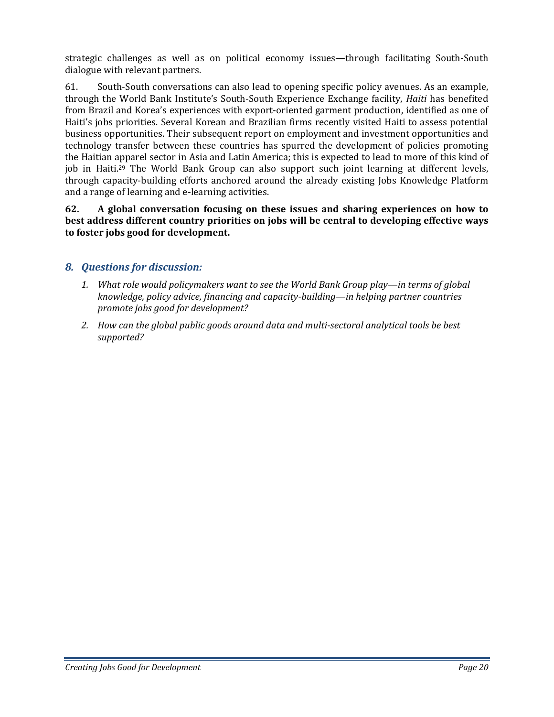strategic challenges as well as on political economy issues—through facilitating South‐South dialogue with relevant partners.

61. South‐South conversations can also lead to opening specific policy avenues. As an example, through the World Bank Institute's South‐South Experience Exchange facility, *Haiti* has benefited from Brazil and Korea's experiences with export-oriented garment production, identified as one of Haiti's jobs priorities. Several Korean and Brazilian firms recently visited Haiti to assess potential business opportunities. Their subsequent report on employment and investment opportunities and technology transfer between these countries has spurred the development of policies promoting the Haitian apparel sector in Asia and Latin America; this is expected to lead to more of this kind of job in Haiti.<sup>29</sup> The World Bank Group can also support such joint learning at different levels, through capacity‐building efforts anchored around the already existing Jobs Knowledge Platform and a range of learning and e‐learning activities.

**62. A global conversation focusing on these issues and sharing experiences on how to best address different country priorities on jobs will be central to developing effective ways to foster jobs good for development.**

# *8. Questions for discussion:*

- *1. What role would policymakers want to see the World Bank Group play—in terms of global knowledge, policy advice, financing and capacitybuilding—in helping partner countries promote jobs good for development?*
- *2. How can the global public goods around data and multisectoral analytical tools be best supported?*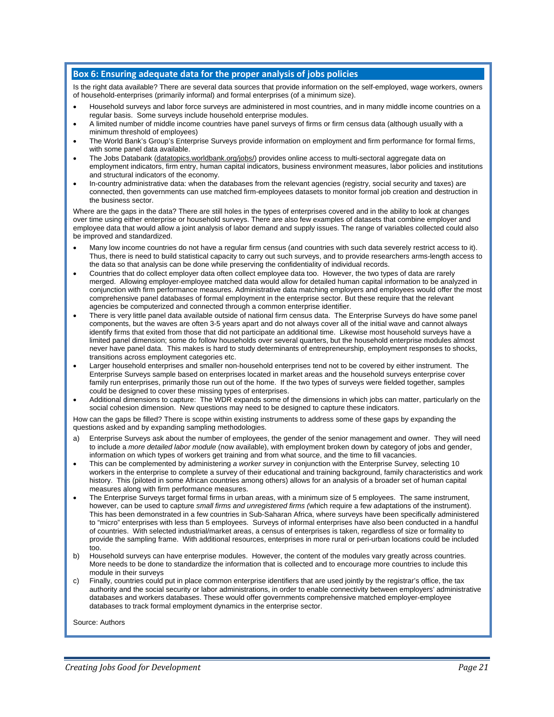#### **Box 6: Ensuring adequate data for the proper analysis of jobs policies**

Is the right data available? There are several data sources that provide information on the self-employed, wage workers, owners of household-enterprises (primarily informal) and formal enterprises (of a minimum size).

- Household surveys and labor force surveys are administered in most countries, and in many middle income countries on a regular basis. Some surveys include household enterprise modules.
- A limited number of middle income countries have panel surveys of firms or firm census data (although usually with a minimum threshold of employees)
- The World Bank's Group's Enterprise Surveys provide information on employment and firm performance for formal firms, with some panel data available.
- The Jobs Databank (datatopics.worldbank.org/jobs/) provides online access to multi-sectoral aggregate data on employment indicators, firm entry, human capital indicators, business environment measures, labor policies and institutions and structural indicators of the economy.
- In-country administrative data: when the databases from the relevant agencies (registry, social security and taxes) are connected, then governments can use matched firm-employees datasets to monitor formal job creation and destruction in the business sector.

Where are the gaps in the data? There are still holes in the types of enterprises covered and in the ability to look at changes over time using either enterprise or household surveys. There are also few examples of datasets that combine employer and employee data that would allow a joint analysis of labor demand and supply issues. The range of variables collected could also be improved and standardized.

- Many low income countries do not have a regular firm census (and countries with such data severely restrict access to it). Thus, there is need to build statistical capacity to carry out such surveys, and to provide researchers arms-length access to the data so that analysis can be done while preserving the confidentiality of individual records.
- Countries that do collect employer data often collect employee data too. However, the two types of data are rarely merged. Allowing employer-employee matched data would allow for detailed human capital information to be analyzed in conjunction with firm performance measures. Administrative data matching employers and employees would offer the most comprehensive panel databases of formal employment in the enterprise sector. But these require that the relevant agencies be computerized and connected through a common enterprise identifier.
- There is very little panel data available outside of national firm census data. The Enterprise Surveys do have some panel components, but the waves are often 3-5 years apart and do not always cover all of the initial wave and cannot always identify firms that exited from those that did not participate an additional time. Likewise most household surveys have a limited panel dimension; some do follow households over several quarters, but the household enterprise modules almost never have panel data. This makes is hard to study determinants of entrepreneurship, employment responses to shocks, transitions across employment categories etc.
- Larger household enterprises and smaller non-household enterprises tend not to be covered by either instrument. The Enterprise Surveys sample based on enterprises located in market areas and the household surveys enterprise cover family run enterprises, primarily those run out of the home. If the two types of surveys were fielded together, samples could be designed to cover these missing types of enterprises.
- Additional dimensions to capture: The WDR expands some of the dimensions in which jobs can matter, particularly on the social cohesion dimension. New questions may need to be designed to capture these indicators.

How can the gaps be filled? There is scope within existing instruments to address some of these gaps by expanding the questions asked and by expanding sampling methodologies.

- a) Enterprise Surveys ask about the number of employees, the gender of the senior management and owner. They will need to include a *more detailed labor module* (now available), with employment broken down by category of jobs and gender, information on which types of workers get training and from what source, and the time to fill vacancies.
- This can be complemented by administering *a worker survey* in conjunction with the Enterprise Survey, selecting 10 workers in the enterprise to complete a survey of their educational and training background, family characteristics and work history. This (piloted in some African countries among others) allows for an analysis of a broader set of human capital measures along with firm performance measures.
- The Enterprise Surveys target formal firms in urban areas, with a minimum size of 5 employees. The same instrument, however, can be used to capture *small firms and unregistered firms (*which require a few adaptations of the instrument). This has been demonstrated in a few countries in Sub-Saharan Africa, where surveys have been specifically administered to "micro" enterprises with less than 5 employees. Surveys of informal enterprises have also been conducted in a handful of countries. With selected industrial/market areas, a census of enterprises is taken, regardless of size or formality to provide the sampling frame. With additional resources, enterprises in more rural or peri-urban locations could be included too.
- b) Household surveys can have enterprise modules. However, the content of the modules vary greatly across countries. More needs to be done to standardize the information that is collected and to encourage more countries to include this module in their surveys
- Finally, countries could put in place common enterprise identifiers that are used jointly by the registrar's office, the tax authority and the social security or labor administrations, in order to enable connectivity between employers' administrative databases and workers databases. These would offer governments comprehensive matched employer-employee databases to track formal employment dynamics in the enterprise sector.

Source: Authors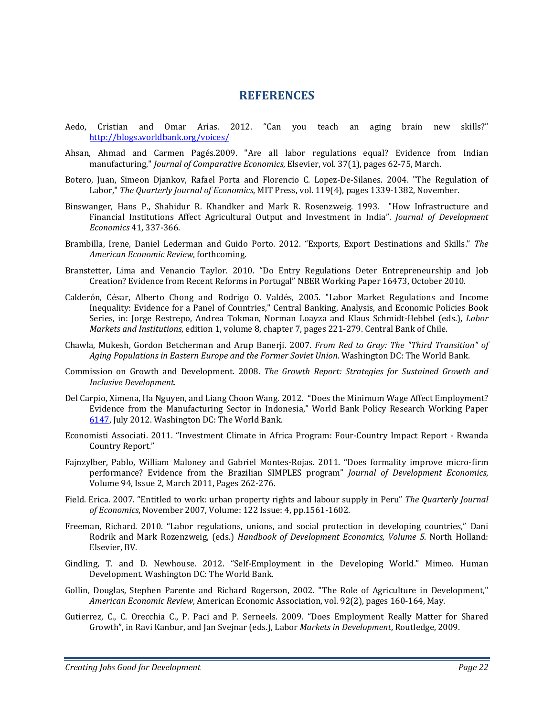### **REFERENCES**

- Aedo, Cristian and Omar Arias. 2012. "Can you teach an aging brain new skills?" http://blogs.worldbank.org/voices/
- Ahsan, Ahmad and Carmen Pagés.2009. "Are all labor regulations equal? Evidence from Indian manufacturing," *Journal of Comparative Economics*, Elsevier, vol. 37(1), pages 62‐75, March.
- Botero, Juan, Simeon Djankov, Rafael Porta and Florencio C. Lopez-De-Silanes. 2004. "The Regulation of Labor," *The Quarterly Journal of Economics*, MIT Press, vol. 119(4), pages 1339‐1382, November.
- Binswanger, Hans P., Shahidur R. Khandker and Mark R. Rosenzweig. 1993. "How Infrastructure and Financial Institutions Affect Agricultural Output and Investment in India". *Journal of Development Economics* 41, 337‐366.
- Brambilla, Irene, Daniel Lederman and Guido Porto. 2012. "Exports, Export Destinations and Skills." *The American Economic Review*, forthcoming.
- Branstetter, Lima and Venancio Taylor. 2010. "Do Entry Regulations Deter Entrepreneurship and Job Creation? Evidence from Recent Reforms in Portugal" NBER Working Paper 16473, October 2010.
- Calderón, César, Alberto Chong and Rodrigo O. Valdés, 2005. "Labor Market Regulations and Income Inequality: Evidence for a Panel of Countries," Central Banking, Analysis, and Economic Policies Book Series, in: Jorge Restrepo, Andrea Tokman, Norman Loayza and Klaus Schmidt‐Hebbel (eds.), *Labor Markets and Institutions*, edition 1, volume 8, chapter 7, pages 221‐279. Central Bank of Chile.
- Chawla, Mukesh, Gordon Betcherman and Arup Banerji. 2007. *From Red to Gray: The "Third Transition" of Aging Populations in Eastern Europe and the Former Soviet Union*. Washington DC: The World Bank.
- Commission on Growth and Development. 2008. *The Growth Report: Strategies for Sustained Growth and Inclusive Development.*
- Del Carpio, Ximena, Ha Nguyen, and Liang Choon Wang. 2012. "Does the Minimum Wage Affect Employment? Evidence from the Manufacturing Sector in Indonesia," World Bank Policy Research Working Paper 6147, July 2012. Washington DC: The World Bank.
- Economisti Associati. 2011. "Investment Climate in Africa Program: Four‐Country Impact Report ‐ Rwanda Country Report."
- Fajnzylber, Pablo, William Maloney and Gabriel Montes‐Rojas. 2011. "Does formality improve micro‐firm performance? Evidence from the Brazilian SIMPLES program" *Journal of Development Economics*, Volume 94, Issue 2, March 2011, Pages 262‐276.
- Field. Erica. 2007. "Entitled to work: urban property rights and labour supply in Peru" *The Quarterly Journal of Economics*, November 2007, Volume: 122 Issue: 4, pp.1561‐1602.
- Freeman, Richard. 2010. "Labor regulations, unions, and social protection in developing countries," Dani Rodrik and Mark Rozenzweig, (eds.) *Handbook of Development Economics, Volume 5*. North Holland: Elsevier, BV.
- Gindling, T. and D. Newhouse. 2012. "Self‐Employment in the Developing World." Mimeo. Human Development. Washington DC: The World Bank.
- Gollin, Douglas, Stephen Parente and Richard Rogerson, 2002. "The Role of Agriculture in Development," *American Economic Review*, American Economic Association, vol. 92(2), pages 160‐164, May.
- Gutierrez, C., C. Orecchia C., P. Paci and P. Serneels. 2009. "Does Employment Really Matter for Shared Growth", in Ravi Kanbur, and Jan Svejnar (eds.), Labor *Markets in Development*, Routledge, 2009.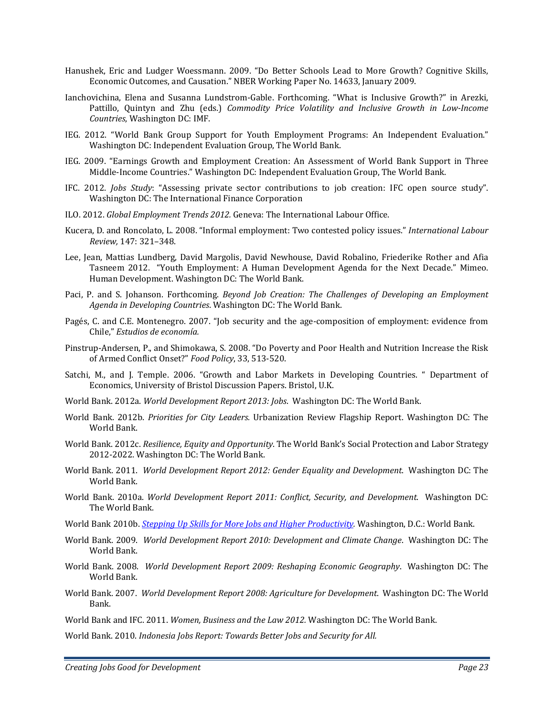- Hanushek, Eric and Ludger Woessmann. 2009. "Do Better Schools Lead to More Growth? Cognitive Skills, Economic Outcomes, and Causation." NBER Working Paper No. 14633, January 2009.
- Ianchovichina, Elena and Susanna Lundstrom‐Gable. Forthcoming. "What is Inclusive Growth?" in Arezki, Pattillo, Quintyn and Zhu (eds.) *Commodity Price Volatility and Inclusive Growth in LowIncome Countries*, Washington DC: IMF.
- IEG. 2012. "World Bank Group Support for Youth Employment Programs: An Independent Evaluation." Washington DC: Independent Evaluation Group, The World Bank.
- IEG. 2009. "Earnings Growth and Employment Creation: An Assessment of World Bank Support in Three Middle‐Income Countries." Washington DC: Independent Evaluation Group, The World Bank.
- IFC. 2012. *Jobs Study*: "Assessing private sector contributions to job creation: IFC open source study". Washington DC: The International Finance Corporation
- ILO. 2012. *Global Employment Trends 2012.* Geneva: The International Labour Office.
- Kucera, D. and Roncolato, L. 2008. "Informal employment: Two contested policy issues." *International Labour Review,* 147: 321–348.
- Lee, Jean, Mattias Lundberg, David Margolis, David Newhouse, David Robalino, Friederike Rother and Afia Tasneem 2012. "Youth Employment: A Human Development Agenda for the Next Decade." Mimeo. Human Development. Washington DC: The World Bank.
- Paci, P. and S. Johanson. Forthcoming. *Beyond Job Creation: The Challenges of Developing an Employment Agenda in Developing Countries*. Washington DC: The World Bank.
- Pagés, C. and C.E. Montenegro. 2007. "Job security and the age‐composition of employment: evidence from Chile," *Estudios de economía.*
- Pinstrup‐Andersen, P., and Shimokawa, S. 2008. "Do Poverty and Poor Health and Nutrition Increase the Risk of Armed Conflict Onset?" *Food Policy*, 33, 513‐520.
- Satchi, M., and J. Temple. 2006. "Growth and Labor Markets in Developing Countries. " Department of Economics, University of Bristol Discussion Papers. Bristol, U.K.
- World Bank. 2012a. *World Development Report 2013: Jobs*. Washington DC: The World Bank.
- World Bank. 2012b. *Priorities for City Leaders.* Urbanization Review Flagship Report. Washington DC: The World Bank.
- World Bank. 2012c. *Resilience, Equity and Opportunity*. The World Bank's Social Protection and Labor Strategy 2012‐2022. Washington DC: The World Bank.
- World Bank. 2011. *World Development Report 2012: Gender Equality and Development*. Washington DC: The World Bank.
- World Bank. 2010a. *World Development Report 2011: Conflict, Security, and Development*. Washington DC: The World Bank.
- World Bank 2010b. *Stepping Up Skills for More Jobs and Higher Productivity.* Washington, D.C.: World Bank.
- World Bank. 2009. *World Development Report 2010: Development and Climate Change*. Washington DC: The World Bank.
- World Bank. 2008. *World Development Report 2009: Reshaping Economic Geography*. Washington DC: The World Bank.
- World Bank. 2007. *World Development Report 2008: Agriculture for Development*. Washington DC: The World Bank.
- World Bank and IFC. 2011. *Women, Business and the Law 2012.* Washington DC: The World Bank.

World Bank. 2010. *Indonesia Jobs Report: Towards Better Jobs and Security for All.*